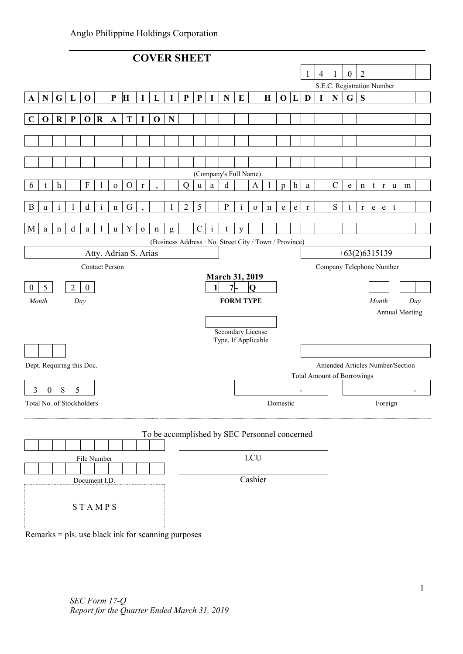|                   |                  |              |                |                           |                         |                       |                                                    |             | <b>COVER SHEET</b> |             |                           |             |              |                                                       |              |              |             |              |                  |             |                |                                   |                  |                |           |              |   |                       |  |
|-------------------|------------------|--------------|----------------|---------------------------|-------------------------|-----------------------|----------------------------------------------------|-------------|--------------------|-------------|---------------------------|-------------|--------------|-------------------------------------------------------|--------------|--------------|-------------|--------------|------------------|-------------|----------------|-----------------------------------|------------------|----------------|-----------|--------------|---|-----------------------|--|
|                   |                  |              |                |                           |                         |                       |                                                    |             |                    |             |                           |             |              |                                                       |              |              |             |              |                  |             | $\overline{4}$ |                                   | $\boldsymbol{0}$ | $\overline{2}$ |           |              |   |                       |  |
|                   |                  |              |                |                           |                         |                       |                                                    |             |                    |             |                           |             |              |                                                       |              |              |             |              |                  |             |                | S.E.C. Registration Number        |                  |                |           |              |   |                       |  |
| $\mathbf{A}$      | ${\bf N}$        | $\mathbf G$  | L              | $\mathbf 0$               |                         | $\mathbf{P}$          | H                                                  | 1           | L                  | $\mathbf I$ | $\boldsymbol{\textbf{P}}$ | ${\bf P}$   | $\mathbf I$  | ${\bf N}$                                             | ${\bf E}$    |              | $\mathbf H$ | $\mathbf 0$  | L                | D           | I              | $\mathbf N$                       | $\mathbf G$      | S              |           |              |   |                       |  |
| $\mathbf C$       | $\mathbf 0$      | $\mathbf R$  | $\mathbf{P}$   | $\mathbf{O}$              | $\overline{\mathbf{R}}$ | $\mathbf{A}$          | T                                                  | $\mathbf I$ | $\mathbf 0$        | ${\bf N}$   |                           |             |              |                                                       |              |              |             |              |                  |             |                |                                   |                  |                |           |              |   |                       |  |
|                   |                  |              |                |                           |                         |                       |                                                    |             |                    |             |                           |             |              |                                                       |              |              |             |              |                  |             |                |                                   |                  |                |           |              |   |                       |  |
|                   |                  |              |                |                           |                         |                       |                                                    |             |                    |             |                           |             |              |                                                       |              |              |             |              |                  |             |                |                                   |                  |                |           |              |   |                       |  |
|                   |                  |              |                |                           |                         |                       |                                                    |             |                    |             |                           |             |              |                                                       |              |              |             |              |                  |             |                |                                   |                  |                |           |              |   |                       |  |
|                   |                  |              |                |                           |                         |                       |                                                    |             |                    |             |                           |             |              | (Company's Full Name)                                 |              |              |             |              |                  |             |                |                                   |                  |                |           |              |   |                       |  |
| 6                 | t                | h            |                | F                         |                         | ${\bf O}$             | $\mathcal{O}$                                      | $\mathbf r$ |                    |             | $\mathbf Q$               | $\mathbf u$ | $\rm{a}$     | d                                                     |              | $\mathbf{A}$ |             | $\mathbf{p}$ | $\boldsymbol{h}$ | a           |                | $\mathcal{C}$                     | e                | $\mathbf n$    | t         | $\mathbf{r}$ | u | m                     |  |
| B                 | $\mathbf u$      | $\mathbf{i}$ | 1              | $\mathbf d$               | $\mathbf{i}$            | $\mathbf n$           | G                                                  |             |                    | 1           | $\overline{c}$            | 5           |              | ${\bf P}$                                             | $\mathbf{i}$ | ${\bf O}$    | $\mathbf n$ | ${\bf e}$    | ${\bf e}$        | $\mathbf r$ |                | ${\bf S}$                         | t                | $\mathbf r$    | ${\bf e}$ | ${\bf e}$    | t |                       |  |
| M                 | $\rm{a}$         | n            | d              | a                         | 1                       | u                     | Y                                                  | ${\bf O}$   | $\mathbf n$        | g           |                           | $\mathbf C$ | $\mathbf{i}$ | t                                                     | V            |              |             |              |                  |             |                |                                   |                  |                |           |              |   |                       |  |
|                   |                  |              |                |                           |                         |                       |                                                    |             |                    |             |                           |             |              | (Business Address: No. Street City / Town / Province) |              |              |             |              |                  |             |                |                                   |                  |                |           |              |   |                       |  |
|                   |                  |              |                |                           |                         |                       | Atty. Adrian S. Arias                              |             |                    |             |                           |             |              |                                                       |              |              |             |              |                  |             |                |                                   | $+63(2)6315139$  |                |           |              |   |                       |  |
|                   |                  |              |                |                           |                         | <b>Contact Person</b> |                                                    |             |                    |             |                           |             |              |                                                       |              |              |             |              |                  |             |                | Company Telephone Number          |                  |                |           |              |   |                       |  |
|                   |                  |              | $\overline{2}$ |                           |                         |                       |                                                    |             |                    |             |                           |             |              | <b>March 31, 2019</b><br>$7 -$                        |              |              |             |              |                  |             |                |                                   |                  |                |           |              |   |                       |  |
| $^{(1)}$<br>Month | 5                |              |                | $\mathbf{0}$              |                         |                       |                                                    |             |                    |             |                           |             | 1            |                                                       |              | $\mathbf{O}$ |             |              |                  |             |                |                                   |                  |                | Month     |              |   |                       |  |
|                   |                  |              | Day            |                           |                         |                       |                                                    |             |                    |             |                           |             |              | <b>FORM TYPE</b>                                      |              |              |             |              |                  |             |                |                                   |                  |                |           |              |   | Day<br>Annual Meeting |  |
|                   |                  |              |                |                           |                         |                       |                                                    |             |                    |             |                           |             |              |                                                       |              |              |             |              |                  |             |                |                                   |                  |                |           |              |   |                       |  |
|                   |                  |              |                |                           |                         |                       |                                                    |             |                    |             |                           |             |              | Secondary License<br>Type, If Applicable              |              |              |             |              |                  |             |                |                                   |                  |                |           |              |   |                       |  |
|                   |                  |              |                |                           |                         |                       |                                                    |             |                    |             |                           |             |              |                                                       |              |              |             |              |                  |             |                |                                   |                  |                |           |              |   |                       |  |
|                   |                  |              |                | Dept. Requiring this Doc. |                         |                       |                                                    |             |                    |             |                           |             |              |                                                       |              |              |             |              |                  |             |                | Amended Articles Number/Section   |                  |                |           |              |   |                       |  |
|                   |                  |              |                |                           |                         |                       |                                                    |             |                    |             |                           |             |              |                                                       |              |              |             |              |                  |             |                | <b>Total Amount of Borrowings</b> |                  |                |           |              |   |                       |  |
| 3                 | $\boldsymbol{0}$ | 8            | 5              |                           |                         |                       |                                                    |             |                    |             |                           |             |              |                                                       |              |              |             |              | ۰                |             |                |                                   |                  |                |           |              |   | ۰                     |  |
|                   |                  |              |                | Total No. of Stockholders |                         |                       |                                                    |             |                    |             |                           |             |              |                                                       |              |              |             | Domestic     |                  |             |                |                                   |                  |                |           | Foreign      |   |                       |  |
|                   |                  |              |                |                           |                         |                       |                                                    |             |                    |             |                           |             |              | To be accomplished by SEC Personnel concerned         |              |              |             |              |                  |             |                |                                   |                  |                |           |              |   |                       |  |
|                   |                  |              |                |                           |                         |                       |                                                    |             |                    |             |                           |             |              |                                                       |              |              |             |              |                  |             |                |                                   |                  |                |           |              |   |                       |  |
|                   |                  |              |                | File Number               |                         |                       |                                                    |             |                    |             |                           |             |              |                                                       |              | LCU          |             |              |                  |             |                |                                   |                  |                |           |              |   |                       |  |
|                   |                  |              |                |                           |                         |                       |                                                    |             |                    |             |                           |             |              |                                                       |              |              |             |              |                  |             |                |                                   |                  |                |           |              |   |                       |  |
|                   |                  |              |                | Document I.D.             |                         |                       |                                                    |             |                    |             |                           |             |              |                                                       |              | Cashier      |             |              |                  |             |                |                                   |                  |                |           |              |   |                       |  |
|                   |                  |              |                |                           |                         |                       |                                                    |             |                    |             |                           |             |              |                                                       |              |              |             |              |                  |             |                |                                   |                  |                |           |              |   |                       |  |
|                   |                  |              |                | <b>STAMPS</b>             |                         |                       |                                                    |             |                    |             |                           |             |              |                                                       |              |              |             |              |                  |             |                |                                   |                  |                |           |              |   |                       |  |
|                   |                  |              |                |                           |                         |                       | Remarks = pls. use black ink for scanning purposes |             |                    |             |                           |             |              |                                                       |              |              |             |              |                  |             |                |                                   |                  |                |           |              |   |                       |  |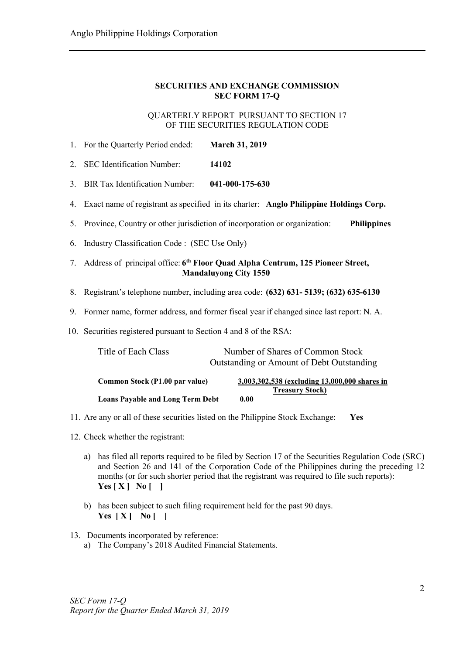# SECURITIES AND EXCHANGE COMMISSION SEC FORM 17-Q

QUARTERLY REPORT PURSUANT TO SECTION 17 OF THE SECURITIES REGULATION CODE

- 1. For the Quarterly Period ended: March 31, 2019
- 2. SEC Identification Number: 14102
- 3. BIR Tax Identification Number: 041-000-175-630
- 4. Exact name of registrant as specified in its charter: Anglo Philippine Holdings Corp.
- 5. Province, Country or other jurisdiction of incorporation or organization: Philippines
- 6. Industry Classification Code : (SEC Use Only)
- 7. Address of principal office: 6<sup>th</sup> Floor Quad Alpha Centrum, 125 Pioneer Street, Mandaluyong City 1550
- 8. Registrant's telephone number, including area code: (632) 631- 5139; (632) 635-6130
- 9. Former name, former address, and former fiscal year if changed since last report: N. A.
- 10. Securities registered pursuant to Section 4 and 8 of the RSA:

| Title of Each Class                     | Number of Shares of Common Stock<br>Outstanding or Amount of Debt Outstanding |
|-----------------------------------------|-------------------------------------------------------------------------------|
| Common Stock (P1.00 par value)          | 3,003,302,538 (excluding 13,000,000 shares in<br><b>Treasury Stock</b> )      |
| <b>Loans Payable and Long Term Debt</b> | 0.00                                                                          |

- 11. Are any or all of these securities listed on the Philippine Stock Exchange: Yes
- 12. Check whether the registrant:
	- a) has filed all reports required to be filed by Section 17 of the Securities Regulation Code (SRC) and Section 26 and 141 of the Corporation Code of the Philippines during the preceding 12 months (or for such shorter period that the registrant was required to file such reports):  $Yes [ X ] No [ ]$
	- b) has been subject to such filing requirement held for the past 90 days. Yes  $[X]$  No  $[$  ]
- 13. Documents incorporated by reference:
	- a) The Company's 2018 Audited Financial Statements.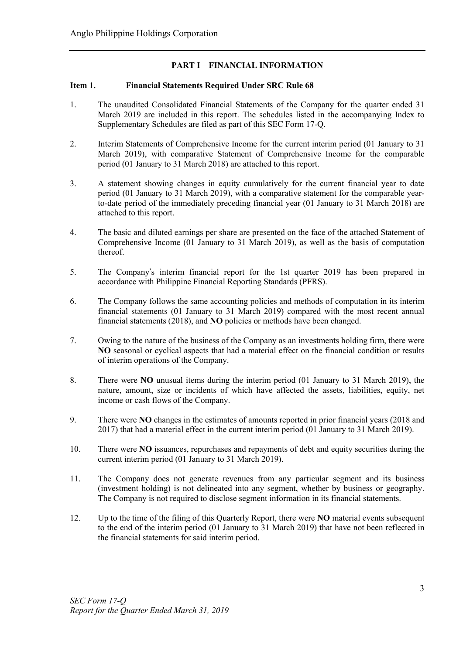# PART I – FINANCIAL INFORMATION

# Item 1. Financial Statements Required Under SRC Rule 68

- 1. The unaudited Consolidated Financial Statements of the Company for the quarter ended 31 March 2019 are included in this report. The schedules listed in the accompanying Index to Supplementary Schedules are filed as part of this SEC Form 17-Q.
- 2. Interim Statements of Comprehensive Income for the current interim period (01 January to 31 March 2019), with comparative Statement of Comprehensive Income for the comparable period (01 January to 31 March 2018) are attached to this report.
- 3. A statement showing changes in equity cumulatively for the current financial year to date period (01 January to 31 March 2019), with a comparative statement for the comparable yearto-date period of the immediately preceding financial year (01 January to 31 March 2018) are attached to this report.
- 4. The basic and diluted earnings per share are presented on the face of the attached Statement of Comprehensive Income (01 January to 31 March 2019), as well as the basis of computation thereof.
- 5. The Company's interim financial report for the 1st quarter 2019 has been prepared in accordance with Philippine Financial Reporting Standards (PFRS).
- 6. The Company follows the same accounting policies and methods of computation in its interim financial statements (01 January to 31 March 2019) compared with the most recent annual financial statements (2018), and NO policies or methods have been changed.
- 7. Owing to the nature of the business of the Company as an investments holding firm, there were NO seasonal or cyclical aspects that had a material effect on the financial condition or results of interim operations of the Company.
- 8. There were NO unusual items during the interim period (01 January to 31 March 2019), the nature, amount, size or incidents of which have affected the assets, liabilities, equity, net income or cash flows of the Company.
- 9. There were NO changes in the estimates of amounts reported in prior financial years (2018 and 2017) that had a material effect in the current interim period (01 January to 31 March 2019).
- 10. There were NO issuances, repurchases and repayments of debt and equity securities during the current interim period (01 January to 31 March 2019).
- 11. The Company does not generate revenues from any particular segment and its business (investment holding) is not delineated into any segment, whether by business or geography. The Company is not required to disclose segment information in its financial statements.
- 12. Up to the time of the filing of this Quarterly Report, there were NO material events subsequent to the end of the interim period (01 January to 31 March 2019) that have not been reflected in the financial statements for said interim period.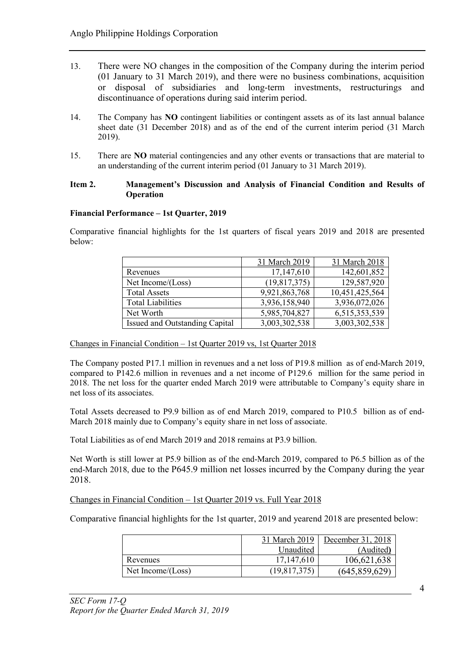- 13. There were NO changes in the composition of the Company during the interim period (01 January to 31 March 2019), and there were no business combinations, acquisition or disposal of subsidiaries and long-term investments, restructurings and discontinuance of operations during said interim period.
- 14. The Company has NO contingent liabilities or contingent assets as of its last annual balance sheet date (31 December 2018) and as of the end of the current interim period (31 March 2019).
- 15. There are NO material contingencies and any other events or transactions that are material to an understanding of the current interim period (01 January to 31 March 2019).

# Item 2. Management's Discussion and Analysis of Financial Condition and Results of **Operation**

# Financial Performance – 1st Quarter, 2019

Comparative financial highlights for the 1st quarters of fiscal years 2019 and 2018 are presented below:

|                                | 31 March 2019  | 31 March 2018  |
|--------------------------------|----------------|----------------|
| Revenues                       | 17,147,610     | 142,601,852    |
| Net Income/(Loss)              | (19, 817, 375) | 129,587,920    |
| <b>Total Assets</b>            | 9,921,863,768  | 10,451,425,564 |
| <b>Total Liabilities</b>       | 3,936,158,940  | 3,936,072,026  |
| Net Worth                      | 5,985,704,827  | 6,515,353,539  |
| Issued and Outstanding Capital | 3,003,302,538  | 3,003,302,538  |

Changes in Financial Condition – 1st Quarter 2019 vs, 1st Quarter 2018

The Company posted P17.1 million in revenues and a net loss of P19.8 million as of end-March 2019, compared to P142.6 million in revenues and a net income of P129.6 million for the same period in 2018. The net loss for the quarter ended March 2019 were attributable to Company's equity share in net loss of its associates.

Total Assets decreased to P9.9 billion as of end March 2019, compared to P10.5 billion as of end-March 2018 mainly due to Company's equity share in net loss of associate.

Total Liabilities as of end March 2019 and 2018 remains at P3.9 billion.

Net Worth is still lower at P5.9 billion as of the end-March 2019, compared to P6.5 billion as of the end-March 2018, due to the P645.9 million net losses incurred by the Company during the year 2018.

Changes in Financial Condition – 1st Quarter 2019 vs. Full Year 2018

Comparative financial highlights for the 1st quarter, 2019 and yearend 2018 are presented below:

|                   | 31 March 2019 | December 31, 2018 |
|-------------------|---------------|-------------------|
|                   | Unaudited     | (Audited)         |
| Revenues          | 17,147,610    | 106,621,638       |
| Net Income/(Loss) | (19,817,375)  | (645, 859, 629)   |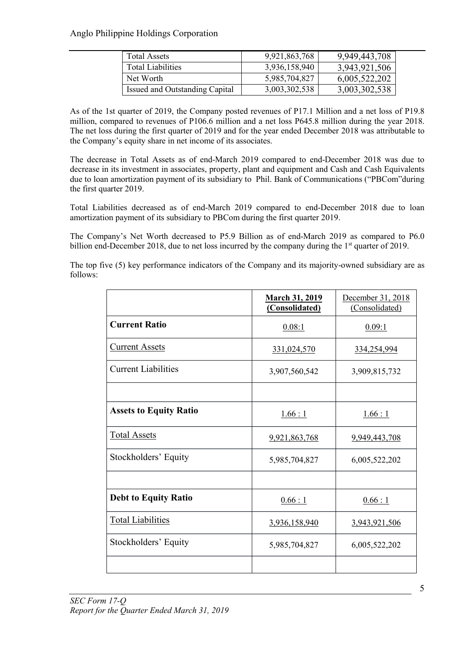| <b>Total Assets</b>            | 9,921,863,768 | 9,949,443,708 |
|--------------------------------|---------------|---------------|
| <b>Total Liabilities</b>       | 3,936,158,940 | 3,943,921,506 |
| Net Worth                      | 5,985,704,827 | 6,005,522,202 |
| Issued and Outstanding Capital | 3,003,302,538 | 3,003,302,538 |

As of the 1st quarter of 2019, the Company posted revenues of P17.1 Million and a net loss of P19.8 million, compared to revenues of P106.6 million and a net loss P645.8 million during the year 2018. The net loss during the first quarter of 2019 and for the year ended December 2018 was attributable to the Company's equity share in net income of its associates.

The decrease in Total Assets as of end-March 2019 compared to end-December 2018 was due to decrease in its investment in associates, property, plant and equipment and Cash and Cash Equivalents due to loan amortization payment of its subsidiary to Phil. Bank of Communications ("PBCom"during the first quarter 2019.

Total Liabilities decreased as of end-March 2019 compared to end-December 2018 due to loan amortization payment of its subsidiary to PBCom during the first quarter 2019.

The Company's Net Worth decreased to P5.9 Billion as of end-March 2019 as compared to P6.0 billion end-December 2018, due to net loss incurred by the company during the 1<sup>st</sup> quarter of 2019.

The top five (5) key performance indicators of the Company and its majority-owned subsidiary are as follows:

|                               | <b>March 31, 2019</b><br>(Consolidated) | December 31, 2018<br>(Consolidated) |
|-------------------------------|-----------------------------------------|-------------------------------------|
| <b>Current Ratio</b>          | 0.08:1                                  | 0.09:1                              |
| <b>Current Assets</b>         | 331,024,570                             | 334,254,994                         |
| <b>Current Liabilities</b>    | 3,907,560,542                           | 3,909,815,732                       |
|                               |                                         |                                     |
| <b>Assets to Equity Ratio</b> | 1.66:1                                  | 1.66:1                              |
| <b>Total Assets</b>           | 9,921,863,768                           | 9,949,443,708                       |
| Stockholders' Equity          | 5,985,704,827                           | 6,005,522,202                       |
|                               |                                         |                                     |
| <b>Debt to Equity Ratio</b>   | 0.66:1                                  | 0.66:1                              |
| <b>Total Liabilities</b>      | 3,936,158,940                           | 3,943,921,506                       |
| Stockholders' Equity          | 5,985,704,827                           | 6,005,522,202                       |
|                               |                                         |                                     |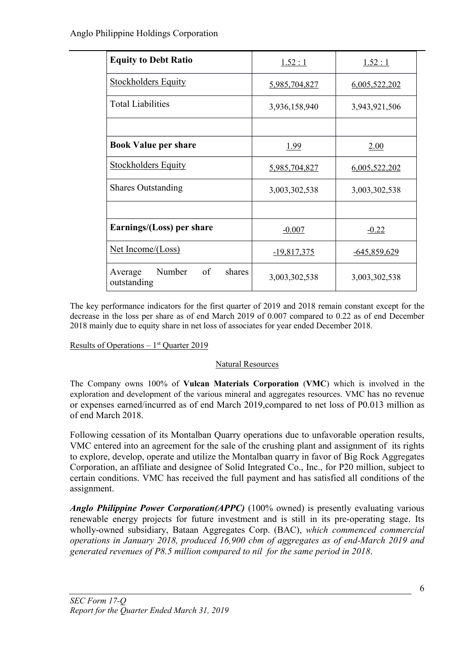| <b>Equity to Debt Ratio</b>                      | 1.52:1        | 1.52:1         |  |  |
|--------------------------------------------------|---------------|----------------|--|--|
| <b>Stockholders Equity</b>                       | 5,985,704,827 | 6,005,522,202  |  |  |
| <b>Total Liabilities</b>                         | 3,936,158,940 | 3,943,921,506  |  |  |
|                                                  |               |                |  |  |
| <b>Book Value per share</b>                      | <u>1.99</u>   | 2.00           |  |  |
| <b>Stockholders Equity</b>                       | 5,985,704,827 | 6,005,522,202  |  |  |
| <b>Shares Outstanding</b>                        | 3,003,302,538 | 3,003,302,538  |  |  |
|                                                  |               |                |  |  |
| Earnings/(Loss) per share                        | $-0.007$      | $-0.22$        |  |  |
| <u>Net Income/(Loss)</u>                         | $-19,817,375$ | $-645,859,629$ |  |  |
| Number<br>of<br>shares<br>Average<br>outstanding | 3,003,302,538 | 3,003,302,538  |  |  |

The key performance indicators for the first quarter of 2019 and 2018 remain constant except for the decrease in the loss per share as of end March 2019 of 0.007 compared to 0.22 as of end December 2018 mainly due to equity share in net loss of associates for year ended December 2018.

Results of Operations  $-1<sup>st</sup>$  Quarter 2019

# Natural Resources

The Company owns 100% of Vulcan Materials Corporation (VMC) which is involved in the exploration and development of the various mineral and aggregates resources. VMC has no revenue or expenses earned/incurred as of end March 2019,compared to net loss of P0.013 million as of end March 2018.

Following cessation of its Montalban Quarry operations due to unfavorable operation results, VMC entered into an agreement for the sale of the crushing plant and assignment of its rights to explore, develop, operate and utilize the Montalban quarry in favor of Big Rock Aggregates Corporation, an affiliate and designee of Solid Integrated Co., Inc., for P20 million, subject to certain conditions. VMC has received the full payment and has satisfied all conditions of the assignment.

*Anglo Philippine Power Corporation(APPC)* (100% owned) is presently evaluating various renewable energy projects for future investment and is still in its pre-operating stage. Its wholly-owned subsidiary, Bataan Aggregates Corp. (BAC), *which commenced commercial operations in January 2018, produced 16,900 cbm of aggregates as of end-March 2019 and generated revenues of P8.5 million compared to nil for the same period in 2018*.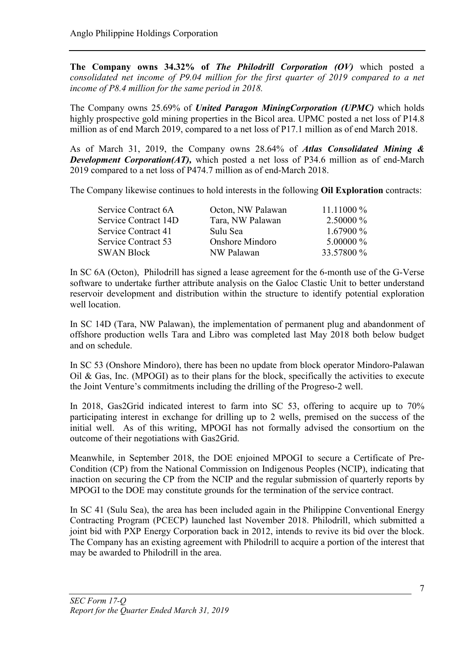The Company owns 34.32% of *The Philodrill Corporation (OV)* which posted a *consolidated net income of P9.04 million for the first quarter of 2019 compared to a net income of P8.4 million for the same period in 2018.*

The Company owns 25.69% of *United Paragon MiningCorporation (UPMC)* which holds highly prospective gold mining properties in the Bicol area. UPMC posted a net loss of P14.8 million as of end March 2019, compared to a net loss of P17.1 million as of end March 2018.

As of March 31, 2019, the Company owns 28.64% of *Atlas Consolidated Mining & Development Corporation(AT),* which posted a net loss of P34.6 million as of end-March 2019 compared to a net loss of P474.7 million as of end-March 2018.

The Company likewise continues to hold interests in the following Oil Exploration contracts:

| Service Contract 6A  | Octon, NW Palawan      | $11.11000\%$ |
|----------------------|------------------------|--------------|
| Service Contract 14D | Tara, NW Palawan       | $2.50000\%$  |
| Service Contract 41  | Sulu Sea               | $1.67900\%$  |
| Service Contract 53  | <b>Onshore Mindoro</b> | 5.00000 $\%$ |
| <b>SWAN Block</b>    | NW Palawan             | 33.57800 %   |

In SC 6A (Octon), Philodrill has signed a lease agreement for the 6-month use of the G-Verse software to undertake further attribute analysis on the Galoc Clastic Unit to better understand reservoir development and distribution within the structure to identify potential exploration well location.

In SC 14D (Tara, NW Palawan), the implementation of permanent plug and abandonment of offshore production wells Tara and Libro was completed last May 2018 both below budget and on schedule.

In SC 53 (Onshore Mindoro), there has been no update from block operator Mindoro-Palawan  $Oil \&$  Gas, Inc. (MPOGI) as to their plans for the block, specifically the activities to execute the Joint Venture's commitments including the drilling of the Progreso-2 well.

In 2018, Gas2Grid indicated interest to farm into SC 53, offering to acquire up to 70% participating interest in exchange for drilling up to 2 wells, premised on the success of the initial well. As of this writing, MPOGI has not formally advised the consortium on the outcome of their negotiations with Gas2Grid.

Meanwhile, in September 2018, the DOE enjoined MPOGI to secure a Certificate of Pre-Condition (CP) from the National Commission on Indigenous Peoples (NCIP), indicating that inaction on securing the CP from the NCIP and the regular submission of quarterly reports by MPOGI to the DOE may constitute grounds for the termination of the service contract.

In SC 41 (Sulu Sea), the area has been included again in the Philippine Conventional Energy Contracting Program (PCECP) launched last November 2018. Philodrill, which submitted a joint bid with PXP Energy Corporation back in 2012, intends to revive its bid over the block. The Company has an existing agreement with Philodrill to acquire a portion of the interest that may be awarded to Philodrill in the area.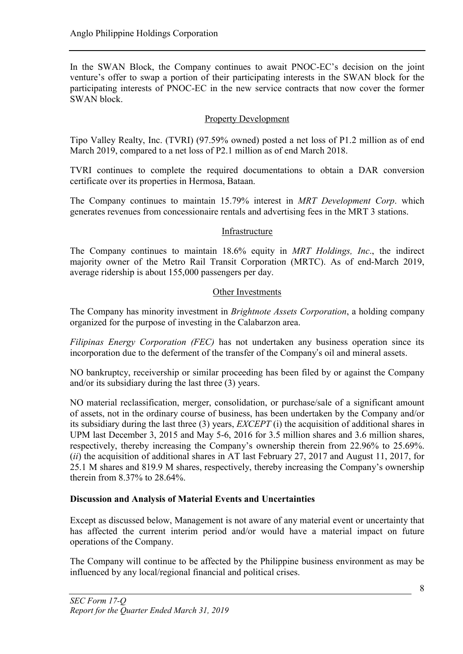In the SWAN Block, the Company continues to await PNOC-EC's decision on the joint venture's offer to swap a portion of their participating interests in the SWAN block for the participating interests of PNOC-EC in the new service contracts that now cover the former SWAN block.

# Property Development

Tipo Valley Realty, Inc. (TVRI) (97.59% owned) posted a net loss of P1.2 million as of end March 2019, compared to a net loss of P2.1 million as of end March 2018.

TVRI continues to complete the required documentations to obtain a DAR conversion certificate over its properties in Hermosa, Bataan.

The Company continues to maintain 15.79% interest in *MRT Development Corp*. which generates revenues from concessionaire rentals and advertising fees in the MRT 3 stations.

# Infrastructure

The Company continues to maintain 18.6% equity in *MRT Holdings, Inc*., the indirect majority owner of the Metro Rail Transit Corporation (MRTC). As of end-March 2019, average ridership is about 155,000 passengers per day.

# Other Investments

The Company has minority investment in *Brightnote Assets Corporation*, a holding company organized for the purpose of investing in the Calabarzon area.

*Filipinas Energy Corporation (FEC)* has not undertaken any business operation since its incorporation due to the deferment of the transfer of the Company's oil and mineral assets.

NO bankruptcy, receivership or similar proceeding has been filed by or against the Company and/or its subsidiary during the last three (3) years.

NO material reclassification, merger, consolidation, or purchase/sale of a significant amount of assets, not in the ordinary course of business, has been undertaken by the Company and/or its subsidiary during the last three (3) years, *EXCEPT* (i) the acquisition of additional shares in UPM last December 3, 2015 and May 5-6, 2016 for 3.5 million shares and 3.6 million shares, respectively, thereby increasing the Company's ownership therein from 22.96% to 25.69%. (*ii*) the acquisition of additional shares in AT last February 27, 2017 and August 11, 2017, for 25.1 M shares and 819.9 M shares, respectively, thereby increasing the Company's ownership therein from 8.37% to 28.64%.

# Discussion and Analysis of Material Events and Uncertainties

Except as discussed below, Management is not aware of any material event or uncertainty that has affected the current interim period and/or would have a material impact on future operations of the Company.

The Company will continue to be affected by the Philippine business environment as may be influenced by any local/regional financial and political crises.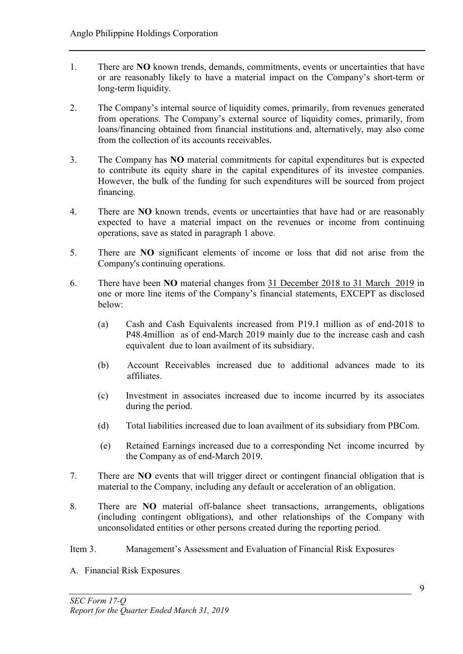- 1. There are NO known trends, demands, commitments, events or uncertainties that have or are reasonably likely to have a material impact on the Company's short-term or long-term liquidity.
- 2. The Company's internal source of liquidity comes, primarily, from revenues generated from operations. The Company's external source of liquidity comes, primarily, from loans/financing obtained from financial institutions and, alternatively, may also come from the collection of its accounts receivables.
- 3. The Company has NO material commitments for capital expenditures but is expected to contribute its equity share in the capital expenditures of its investee companies. However, the bulk of the funding for such expenditures will be sourced from project financing.
- 4. There are NO known trends, events or uncertainties that have had or are reasonably expected to have a material impact on the revenues or income from continuing operations, save as stated in paragraph 1 above.
- 5. There are NO significant elements of income or loss that did not arise from the Company's continuing operations.
- 6. There have been NO material changes from 31 December 2018 to 31 March 2019 in one or more line items of the Company's financial statements, EXCEPT as disclosed below:
	- (a) Cash and Cash Equivalents increased from P19.1 million as of end-2018 to P48.4million as of end-March 2019 mainly due to the increase cash and cash equivalent due to loan availment of its subsidiary.
	- (b) Account Receivables increased due to additional advances made to its affiliates.
	- (c) Investment in associates increased due to income incurred by its associates during the period.
	- (d) Total liabilities increased due to loan availment of its subsidiary from PBCom.
	- (e) Retained Earnings increased due to a corresponding Net income incurred by the Company as of end-March 2019.
- 7. There are NO events that will trigger direct or contingent financial obligation that is material to the Company, including any default or acceleration of an obligation.
- 8. There are NO material off-balance sheet transactions, arrangements, obligations (including contingent obligations), and other relationships of the Company with unconsolidated entities or other persons created during the reporting period.
- Item 3. Management's Assessment and Evaluation of Financial Risk Exposures
- A. Financial Risk Exposures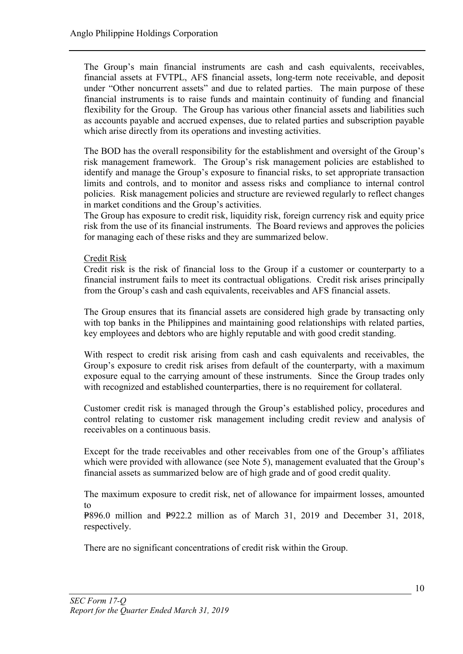The Group's main financial instruments are cash and cash equivalents, receivables, financial assets at FVTPL, AFS financial assets, long-term note receivable, and deposit under "Other noncurrent assets" and due to related parties. The main purpose of these financial instruments is to raise funds and maintain continuity of funding and financial flexibility for the Group. The Group has various other financial assets and liabilities such as accounts payable and accrued expenses, due to related parties and subscription payable which arise directly from its operations and investing activities.

The BOD has the overall responsibility for the establishment and oversight of the Group's risk management framework. The Group's risk management policies are established to identify and manage the Group's exposure to financial risks, to set appropriate transaction limits and controls, and to monitor and assess risks and compliance to internal control policies. Risk management policies and structure are reviewed regularly to reflect changes in market conditions and the Group's activities.

The Group has exposure to credit risk, liquidity risk, foreign currency risk and equity price risk from the use of its financial instruments. The Board reviews and approves the policies for managing each of these risks and they are summarized below.

# Credit Risk

Credit risk is the risk of financial loss to the Group if a customer or counterparty to a financial instrument fails to meet its contractual obligations. Credit risk arises principally from the Group's cash and cash equivalents, receivables and AFS financial assets.

The Group ensures that its financial assets are considered high grade by transacting only with top banks in the Philippines and maintaining good relationships with related parties, key employees and debtors who are highly reputable and with good credit standing.

With respect to credit risk arising from cash and cash equivalents and receivables, the Group's exposure to credit risk arises from default of the counterparty, with a maximum exposure equal to the carrying amount of these instruments. Since the Group trades only with recognized and established counterparties, there is no requirement for collateral.

Customer credit risk is managed through the Group's established policy, procedures and control relating to customer risk management including credit review and analysis of receivables on a continuous basis.

Except for the trade receivables and other receivables from one of the Group's affiliates which were provided with allowance (see Note 5), management evaluated that the Group's financial assets as summarized below are of high grade and of good credit quality.

The maximum exposure to credit risk, net of allowance for impairment losses, amounted to

 $P=896.0$  million and  $P=922.2$  million as of March 31, 2019 and December 31, 2018, respectively.

There are no significant concentrations of credit risk within the Group.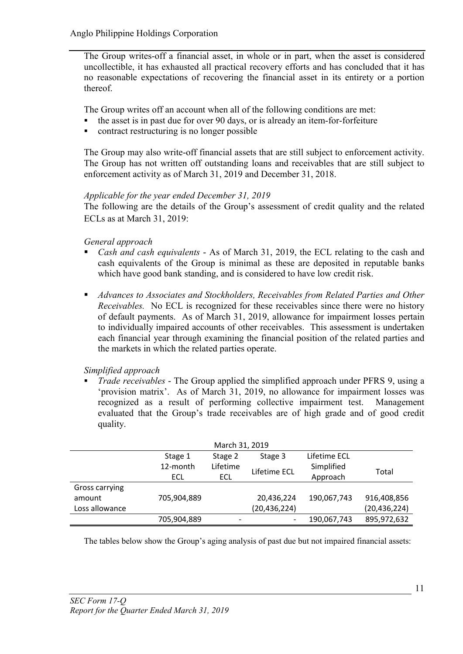The Group writes-off a financial asset, in whole or in part, when the asset is considered uncollectible, it has exhausted all practical recovery efforts and has concluded that it has no reasonable expectations of recovering the financial asset in its entirety or a portion thereof.

The Group writes off an account when all of the following conditions are met:

- the asset is in past due for over 90 days, or is already an item-for-forfeiture
- contract restructuring is no longer possible

The Group may also write-off financial assets that are still subject to enforcement activity. The Group has not written off outstanding loans and receivables that are still subject to enforcement activity as of March 31, 2019 and December 31, 2018.

# *Applicable for the year ended December 31, 2019*

The following are the details of the Group's assessment of credit quality and the related ECLs as at March 31, 2019:

*General approach*

- *Cash and cash equivalents*  As of March 31, 2019, the ECL relating to the cash and cash equivalents of the Group is minimal as these are deposited in reputable banks which have good bank standing, and is considered to have low credit risk.
- *Advances to Associates and Stockholders, Receivables from Related Parties and Other Receivables.* No ECL is recognized for these receivables since there were no history of default payments. As of March 31, 2019, allowance for impairment losses pertain to individually impaired accounts of other receivables. This assessment is undertaken each financial year through examining the financial position of the related parties and the markets in which the related parties operate.

# *Simplified approach*

 *Trade receivables* - The Group applied the simplified approach under PFRS 9, using a 'provision matrix'. As of March 31, 2019, no allowance for impairment losses was recognized as a result of performing collective impairment test. Management evaluated that the Group's trade receivables are of high grade and of good credit quality.

| March 31, 2019 |             |          |                |              |                |  |  |  |
|----------------|-------------|----------|----------------|--------------|----------------|--|--|--|
|                | Stage 1     | Stage 2  | Stage 3        | Lifetime ECL |                |  |  |  |
|                | 12-month    | Lifetime |                | Simplified   |                |  |  |  |
|                | ECL         | ECL      | Lifetime ECL   | Approach     | Total          |  |  |  |
| Gross carrying |             |          |                |              |                |  |  |  |
| amount         | 705,904,889 |          | 20,436,224     | 190,067,743  | 916,408,856    |  |  |  |
| Loss allowance |             |          | (20, 436, 224) |              | (20, 436, 224) |  |  |  |
|                | 705,904,889 |          | -              | 190,067,743  | 895,972,632    |  |  |  |

The tables below show the Group's aging analysis of past due but not impaired financial assets: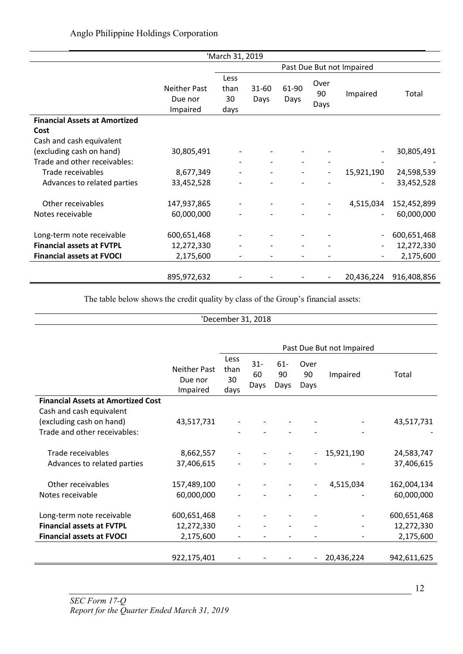|                                      |                                            | 'March 31, 2019            |                   |               |                    |                          |             |
|--------------------------------------|--------------------------------------------|----------------------------|-------------------|---------------|--------------------|--------------------------|-------------|
|                                      |                                            | Past Due But not Impaired  |                   |               |                    |                          |             |
|                                      | <b>Neither Past</b><br>Due nor<br>Impaired | Less<br>than<br>30<br>days | $31 - 60$<br>Days | 61-90<br>Days | Over<br>90<br>Days | Impaired                 | Total       |
| <b>Financial Assets at Amortized</b> |                                            |                            |                   |               |                    |                          |             |
| Cost                                 |                                            |                            |                   |               |                    |                          |             |
| Cash and cash equivalent             |                                            |                            |                   |               |                    |                          |             |
| (excluding cash on hand)             | 30,805,491                                 |                            |                   |               |                    |                          | 30,805,491  |
| Trade and other receivables:         |                                            |                            |                   |               |                    |                          |             |
| Trade receivables                    | 8,677,349                                  |                            |                   |               | $\overline{a}$     | 15,921,190               | 24,598,539  |
| Advances to related parties          | 33,452,528                                 |                            |                   |               |                    |                          | 33,452,528  |
| Other receivables                    | 147,937,865                                |                            |                   |               |                    | 4,515,034                | 152,452,899 |
| Notes receivable                     | 60,000,000                                 |                            |                   |               |                    |                          | 60,000,000  |
| Long-term note receivable            | 600,651,468                                |                            |                   |               |                    |                          | 600,651,468 |
| <b>Financial assets at FVTPL</b>     | 12,272,330                                 |                            |                   |               |                    |                          | 12,272,330  |
| <b>Financial assets at FVOCI</b>     | 2,175,600                                  |                            |                   |               |                    | $\overline{\phantom{a}}$ | 2,175,600   |
|                                      | 895,972,632                                |                            |                   |               | $\overline{a}$     | 20,436,224               | 916,408,856 |

The table below shows the credit quality by class of the Group's financial assets:

# 'December 31, 2018

|                                           |                                     | Past Due But not Impaired  |                      |                      |                          |            |             |  |
|-------------------------------------------|-------------------------------------|----------------------------|----------------------|----------------------|--------------------------|------------|-------------|--|
|                                           | Neither Past<br>Due nor<br>Impaired | Less<br>than<br>30<br>days | $31 -$<br>60<br>Days | $61 -$<br>90<br>Days | Over<br>90<br>Days       | Impaired   | Total       |  |
| <b>Financial Assets at Amortized Cost</b> |                                     |                            |                      |                      |                          |            |             |  |
| Cash and cash equivalent                  |                                     |                            |                      |                      |                          |            |             |  |
| (excluding cash on hand)                  | 43,517,731                          |                            |                      |                      |                          |            | 43,517,731  |  |
| Trade and other receivables:              |                                     |                            |                      |                      |                          |            |             |  |
|                                           |                                     |                            |                      |                      |                          |            |             |  |
| Trade receivables                         | 8,662,557                           |                            |                      |                      |                          | 15,921,190 | 24,583,747  |  |
| Advances to related parties               | 37,406,615                          |                            |                      |                      |                          |            | 37,406,615  |  |
|                                           |                                     |                            |                      |                      |                          |            |             |  |
| Other receivables                         | 157,489,100                         |                            |                      |                      | $\overline{\phantom{a}}$ | 4,515,034  | 162,004,134 |  |
| Notes receivable                          | 60,000,000                          |                            |                      |                      |                          |            | 60,000,000  |  |
|                                           |                                     |                            |                      |                      |                          |            |             |  |
| Long-term note receivable                 | 600,651,468                         |                            |                      |                      |                          |            | 600,651,468 |  |
| <b>Financial assets at FVTPL</b>          | 12,272,330                          |                            |                      |                      |                          |            | 12,272,330  |  |
| <b>Financial assets at FVOCI</b>          | 2,175,600                           |                            |                      |                      |                          |            | 2,175,600   |  |
|                                           |                                     |                            |                      |                      |                          |            |             |  |
|                                           | 922,175,401                         |                            |                      |                      |                          | 20,436,224 | 942,611,625 |  |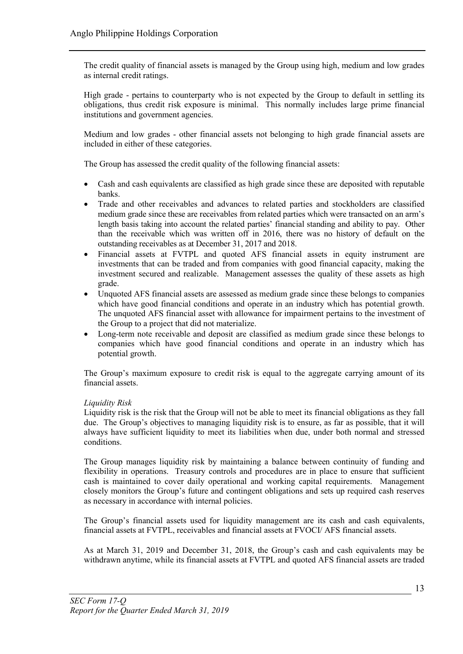The credit quality of financial assets is managed by the Group using high, medium and low grades as internal credit ratings.

High grade - pertains to counterparty who is not expected by the Group to default in settling its obligations, thus credit risk exposure is minimal. This normally includes large prime financial institutions and government agencies.

Medium and low grades - other financial assets not belonging to high grade financial assets are included in either of these categories.

The Group has assessed the credit quality of the following financial assets:

- Cash and cash equivalents are classified as high grade since these are deposited with reputable banks.
- Trade and other receivables and advances to related parties and stockholders are classified medium grade since these are receivables from related parties which were transacted on an arm's length basis taking into account the related parties' financial standing and ability to pay. Other than the receivable which was written off in 2016, there was no history of default on the outstanding receivables as at December 31, 2017 and 2018.
- Financial assets at FVTPL and quoted AFS financial assets in equity instrument are investments that can be traded and from companies with good financial capacity, making the investment secured and realizable. Management assesses the quality of these assets as high grade.
- Unquoted AFS financial assets are assessed as medium grade since these belongs to companies which have good financial conditions and operate in an industry which has potential growth. The unquoted AFS financial asset with allowance for impairment pertains to the investment of the Group to a project that did not materialize.
- Long-term note receivable and deposit are classified as medium grade since these belongs to companies which have good financial conditions and operate in an industry which has potential growth.

The Group's maximum exposure to credit risk is equal to the aggregate carrying amount of its financial assets.

# *Liquidity Risk*

Liquidity risk is the risk that the Group will not be able to meet its financial obligations as they fall due. The Group's objectives to managing liquidity risk is to ensure, as far as possible, that it will always have sufficient liquidity to meet its liabilities when due, under both normal and stressed conditions.

The Group manages liquidity risk by maintaining a balance between continuity of funding and flexibility in operations. Treasury controls and procedures are in place to ensure that sufficient cash is maintained to cover daily operational and working capital requirements. Management closely monitors the Group's future and contingent obligations and sets up required cash reserves as necessary in accordance with internal policies.

The Group's financial assets used for liquidity management are its cash and cash equivalents, financial assets at FVTPL, receivables and financial assets at FVOCI/ AFS financial assets.

As at March 31, 2019 and December 31, 2018, the Group's cash and cash equivalents may be withdrawn anytime, while its financial assets at FVTPL and quoted AFS financial assets are traded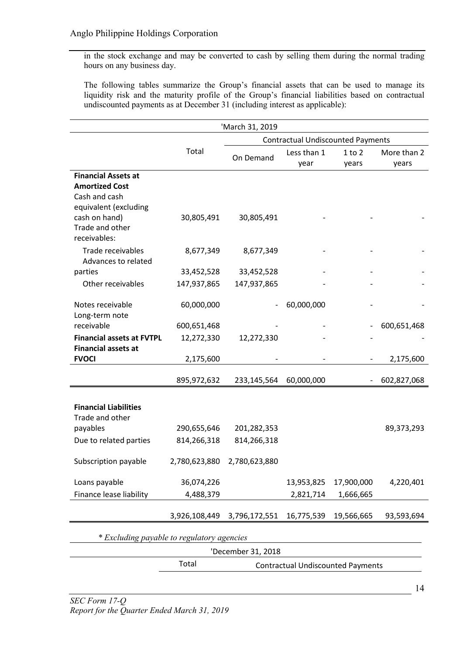in the stock exchange and may be converted to cash by selling them during the normal trading hours on any business day.

The following tables summarize the Group's financial assets that can be used to manage its liquidity risk and the maturity profile of the Group's financial liabilities based on contractual undiscounted payments as at December 31 (including interest as applicable):

|                                            |                                                   | 'March 31, 2019    |                                          |            |             |  |  |  |  |
|--------------------------------------------|---------------------------------------------------|--------------------|------------------------------------------|------------|-------------|--|--|--|--|
|                                            |                                                   |                    | <b>Contractual Undiscounted Payments</b> |            |             |  |  |  |  |
|                                            | Total                                             | On Demand          | Less than 1                              | $1$ to $2$ | More than 2 |  |  |  |  |
|                                            |                                                   |                    | year                                     | years      | years       |  |  |  |  |
| <b>Financial Assets at</b>                 |                                                   |                    |                                          |            |             |  |  |  |  |
| <b>Amortized Cost</b>                      |                                                   |                    |                                          |            |             |  |  |  |  |
| Cash and cash                              |                                                   |                    |                                          |            |             |  |  |  |  |
| equivalent (excluding                      |                                                   |                    |                                          |            |             |  |  |  |  |
| cash on hand)<br>Trade and other           | 30,805,491                                        | 30,805,491         |                                          |            |             |  |  |  |  |
| receivables:                               |                                                   |                    |                                          |            |             |  |  |  |  |
|                                            |                                                   |                    |                                          |            |             |  |  |  |  |
| Trade receivables<br>Advances to related   | 8,677,349                                         | 8,677,349          |                                          |            |             |  |  |  |  |
| parties                                    | 33,452,528                                        | 33,452,528         |                                          |            |             |  |  |  |  |
| Other receivables                          | 147,937,865                                       | 147,937,865        |                                          |            |             |  |  |  |  |
|                                            |                                                   |                    |                                          |            |             |  |  |  |  |
| Notes receivable                           | 60,000,000                                        |                    | 60,000,000                               |            |             |  |  |  |  |
| Long-term note                             |                                                   |                    |                                          |            |             |  |  |  |  |
| receivable                                 | 600,651,468                                       |                    |                                          |            | 600,651,468 |  |  |  |  |
| <b>Financial assets at FVTPL</b>           | 12,272,330                                        | 12,272,330         |                                          |            |             |  |  |  |  |
| <b>Financial assets at</b>                 |                                                   |                    |                                          |            |             |  |  |  |  |
| <b>FVOCI</b>                               | 2,175,600                                         |                    |                                          |            | 2,175,600   |  |  |  |  |
|                                            |                                                   |                    |                                          |            |             |  |  |  |  |
|                                            | 895,972,632                                       | 233,145,564        | 60,000,000                               |            | 602,827,068 |  |  |  |  |
|                                            |                                                   |                    |                                          |            |             |  |  |  |  |
| <b>Financial Liabilities</b>               |                                                   |                    |                                          |            |             |  |  |  |  |
| Trade and other                            |                                                   |                    |                                          |            |             |  |  |  |  |
| payables                                   | 290,655,646                                       | 201,282,353        |                                          |            | 89,373,293  |  |  |  |  |
| Due to related parties                     | 814,266,318                                       | 814,266,318        |                                          |            |             |  |  |  |  |
|                                            |                                                   |                    |                                          |            |             |  |  |  |  |
| Subscription payable                       | 2,780,623,880                                     | 2,780,623,880      |                                          |            |             |  |  |  |  |
| Loans payable                              | 36,074,226                                        |                    | 13,953,825                               | 17,900,000 | 4,220,401   |  |  |  |  |
| Finance lease liability                    | 4,488,379                                         |                    | 2,821,714                                | 1,666,665  |             |  |  |  |  |
|                                            |                                                   |                    |                                          |            |             |  |  |  |  |
|                                            | 3,926,108,449                                     | 3,796,172,551      | 16,775,539                               | 19,566,665 | 93,593,694  |  |  |  |  |
| * Excluding payable to regulatory agencies |                                                   |                    |                                          |            |             |  |  |  |  |
|                                            |                                                   |                    |                                          |            |             |  |  |  |  |
|                                            |                                                   | 'December 31, 2018 |                                          |            |             |  |  |  |  |
|                                            | Total<br><b>Contractual Undiscounted Payments</b> |                    |                                          |            |             |  |  |  |  |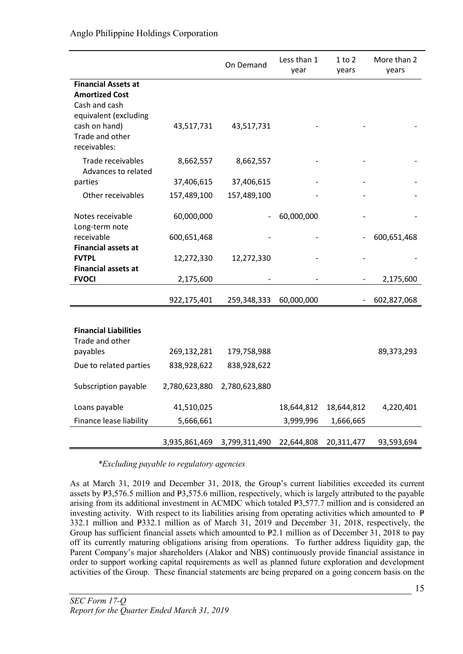|                                          |               | On Demand     | Less than 1<br>year | 1 to 2<br>years | More than 2<br>years |
|------------------------------------------|---------------|---------------|---------------------|-----------------|----------------------|
| <b>Financial Assets at</b>               |               |               |                     |                 |                      |
| <b>Amortized Cost</b>                    |               |               |                     |                 |                      |
| Cash and cash<br>equivalent (excluding   |               |               |                     |                 |                      |
| cash on hand)                            | 43,517,731    | 43,517,731    |                     |                 |                      |
| Trade and other                          |               |               |                     |                 |                      |
| receivables:                             |               |               |                     |                 |                      |
| Trade receivables<br>Advances to related | 8,662,557     | 8,662,557     |                     |                 |                      |
| parties                                  | 37,406,615    | 37,406,615    |                     |                 |                      |
| Other receivables                        | 157,489,100   | 157,489,100   |                     |                 |                      |
| Notes receivable                         | 60,000,000    |               | 60,000,000          |                 |                      |
| Long-term note                           |               |               |                     |                 |                      |
| receivable<br><b>Financial assets at</b> | 600,651,468   |               |                     |                 | 600,651,468          |
| <b>FVTPL</b>                             | 12,272,330    | 12,272,330    |                     |                 |                      |
| <b>Financial assets at</b>               |               |               |                     |                 |                      |
| <b>FVOCI</b>                             | 2,175,600     |               |                     |                 | 2,175,600            |
|                                          | 922,175,401   | 259,348,333   | 60,000,000          |                 | 602,827,068          |
|                                          |               |               |                     |                 |                      |
| <b>Financial Liabilities</b>             |               |               |                     |                 |                      |
| Trade and other                          |               |               |                     |                 |                      |
| payables                                 | 269,132,281   | 179,758,988   |                     |                 | 89,373,293           |
| Due to related parties                   | 838,928,622   | 838,928,622   |                     |                 |                      |
| Subscription payable                     | 2,780,623,880 | 2,780,623,880 |                     |                 |                      |
| Loans payable                            | 41,510,025    |               | 18,644,812          | 18,644,812      | 4,220,401            |
| Finance lease liability                  | 5,666,661     |               | 3,999,996           | 1,666,665       |                      |
|                                          |               |               |                     |                 |                      |
|                                          | 3,935,861,469 | 3,799,311,490 | 22,644,808          | 20,311,477      | 93,593,694           |

*\*Excluding payable to regulatory agencies*

As at March 31, 2019 and December 31, 2018, the Group's current liabilities exceeded its current assets by  $\overline{P3,576.5}$  million and  $\overline{P3,575.6}$  million, respectively, which is largely attributed to the payable arising from its additional investment in ACMDC which totaled  $\frac{1}{2}3,577.7$  million and is considered an investing activity. With respect to its liabilities arising from operating activities which amounted to  $\overline{P}$  $332.1$  million and  $P332.1$  million as of March 31, 2019 and December 31, 2018, respectively, the Group has sufficient financial assets which amounted to  $\frac{p}{2}$ . million as of December 31, 2018 to pay off its currently maturing obligations arising from operations. To further address liquidity gap, the Parent Company's major shareholders (Alakor and NBS) continuously provide financial assistance in order to support working capital requirements as well as planned future exploration and development activities of the Group. These financial statements are being prepared on a going concern basis on the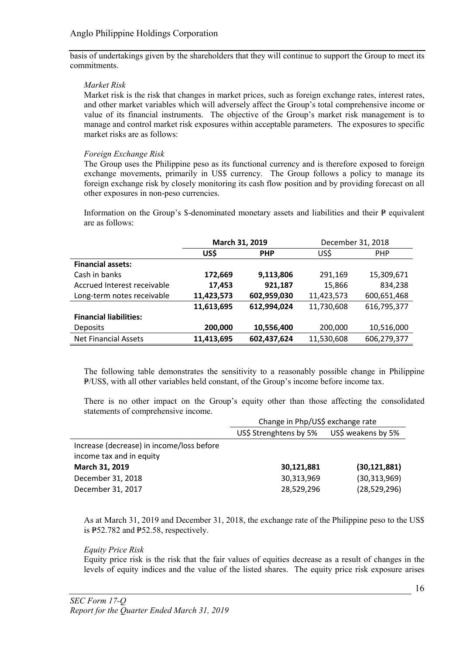basis of undertakings given by the shareholders that they will continue to support the Group to meet its commitments.

# *Market Risk*

Market risk is the risk that changes in market prices, such as foreign exchange rates, interest rates, and other market variables which will adversely affect the Group's total comprehensive income or value of its financial instruments. The objective of the Group's market risk management is to manage and control market risk exposures within acceptable parameters. The exposures to specific market risks are as follows:

# *Foreign Exchange Risk*

The Group uses the Philippine peso as its functional currency and is therefore exposed to foreign exchange movements, primarily in US\$ currency. The Group follows a policy to manage its foreign exchange risk by closely monitoring its cash flow position and by providing forecast on all other exposures in non-peso currencies.

Information on the Group's  $\text{\$-denominated monetary assets and liabilities and their } \text{\$-equivalent}$ are as follows:

|                               | March 31, 2019 |             | December 31, 2018 |             |
|-------------------------------|----------------|-------------|-------------------|-------------|
|                               | US\$           | <b>PHP</b>  | US\$              | <b>PHP</b>  |
| <b>Financial assets:</b>      |                |             |                   |             |
| Cash in banks                 | 172,669        | 9,113,806   | 291,169           | 15,309,671  |
| Accrued Interest receivable   | 17,453         | 921,187     | 15,866            | 834,238     |
| Long-term notes receivable    | 11,423,573     | 602,959,030 | 11,423,573        | 600,651,468 |
|                               | 11,613,695     | 612,994,024 | 11,730,608        | 616,795,377 |
| <b>Financial liabilities:</b> |                |             |                   |             |
| <b>Deposits</b>               | 200,000        | 10,556,400  | 200,000           | 10,516,000  |
| <b>Net Financial Assets</b>   | 11,413,695     | 602,437,624 | 11,530,608        | 606,279,377 |

The following table demonstrates the sensitivity to a reasonably possible change in Philippine P/US\$, with all other variables held constant, of the Group's income before income tax.

There is no other impact on the Group's equity other than those affecting the consolidated statements of comprehensive income.

|                                           | Change in Php/US\$ exchange rate |                    |  |  |
|-------------------------------------------|----------------------------------|--------------------|--|--|
|                                           | US\$ Strenghtens by 5%           | US\$ weakens by 5% |  |  |
| Increase (decrease) in income/loss before |                                  |                    |  |  |
| income tax and in equity                  |                                  |                    |  |  |
| March 31, 2019                            | 30,121,881                       | (30, 121, 881)     |  |  |
| December 31, 2018                         | 30,313,969                       | (30, 313, 969)     |  |  |
| December 31, 2017                         | 28,529,296                       | (28, 529, 296)     |  |  |
|                                           |                                  |                    |  |  |

As at March 31, 2019 and December 31, 2018, the exchange rate of the Philippine peso to the US\$ is  $P52.782$  and  $P52.58$ , respectively.

## *Equity Price Risk*

Equity price risk is the risk that the fair values of equities decrease as a result of changes in the levels of equity indices and the value of the listed shares. The equity price risk exposure arises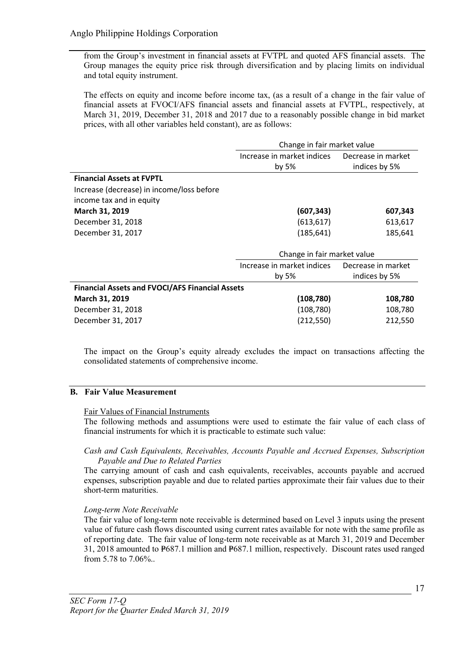from the Group's investment in financial assets at FVTPL and quoted AFS financial assets. The Group manages the equity price risk through diversification and by placing limits on individual and total equity instrument.

The effects on equity and income before income tax, (as a result of a change in the fair value of financial assets at FVOCI/AFS financial assets and financial assets at FVTPL, respectively, at March 31, 2019, December 31, 2018 and 2017 due to a reasonably possible change in bid market prices, with all other variables held constant), are as follows:

|                                                | Change in fair market value |                    |  |
|------------------------------------------------|-----------------------------|--------------------|--|
|                                                | Increase in market indices  | Decrease in market |  |
|                                                | by 5%                       | indices by 5%      |  |
| <b>Financial Assets at FVPTL</b>               |                             |                    |  |
| Increase (decrease) in income/loss before      |                             |                    |  |
| income tax and in equity                       |                             |                    |  |
| March 31, 2019                                 | (607, 343)                  | 607,343            |  |
| December 31, 2018                              | (613, 617)                  | 613,617            |  |
| December 31, 2017                              | (185, 641)                  | 185,641            |  |
|                                                | Change in fair market value |                    |  |
|                                                | Increase in market indices  | Decrease in market |  |
|                                                | by $5%$<br>indices by 5%    |                    |  |
| Flugardal Agasta and FVOOUAFC Flugardal Agasta |                             |                    |  |

| <b>Financial Assets and FVOCI/AFS Financial Assets</b> |            |         |  |  |  |  |  |
|--------------------------------------------------------|------------|---------|--|--|--|--|--|
| <b>March 31, 2019</b>                                  | (108, 780) | 108.780 |  |  |  |  |  |
| December 31, 2018                                      | (108, 780) | 108.780 |  |  |  |  |  |
| December 31, 2017                                      | (212, 550) | 212.550 |  |  |  |  |  |
|                                                        |            |         |  |  |  |  |  |

The impact on the Group's equity already excludes the impact on transactions affecting the consolidated statements of comprehensive income.

# B. Fair Value Measurement

# Fair Values of Financial Instruments

The following methods and assumptions were used to estimate the fair value of each class of financial instruments for which it is practicable to estimate such value:

# *Cash and Cash Equivalents, Receivables, Accounts Payable and Accrued Expenses, Subscription Payable and Due to Related Parties*

The carrying amount of cash and cash equivalents, receivables, accounts payable and accrued expenses, subscription payable and due to related parties approximate their fair values due to their short-term maturities.

# *Long-term Note Receivable*

The fair value of long-term note receivable is determined based on Level 3 inputs using the present value of future cash flows discounted using current rates available for note with the same profile as of reporting date. The fair value of long-term note receivable as at March 31, 2019 and December 31, 2018 amounted to  $P=687.1$  million and  $P=687.1$  million, respectively. Discount rates used ranged from 5.78 to 7.06%..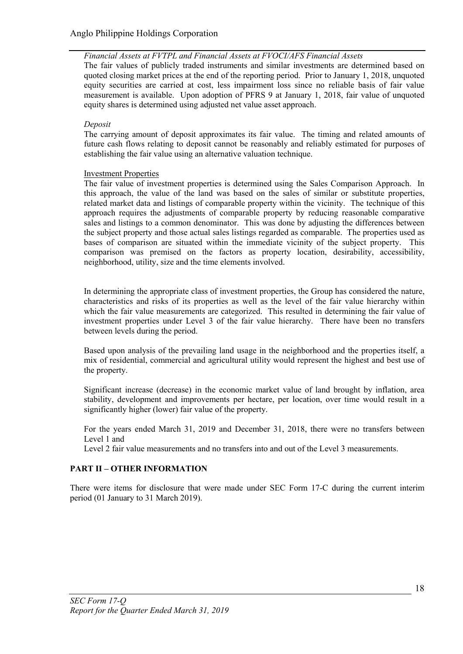# *Financial Assets at FVTPL and Financial Assets at FVOCI/AFS Financial Assets*

The fair values of publicly traded instruments and similar investments are determined based on quoted closing market prices at the end of the reporting period. Prior to January 1, 2018, unquoted equity securities are carried at cost, less impairment loss since no reliable basis of fair value measurement is available. Upon adoption of PFRS 9 at January 1, 2018, fair value of unquoted equity shares is determined using adjusted net value asset approach.

# *Deposit*

The carrying amount of deposit approximates its fair value. The timing and related amounts of future cash flows relating to deposit cannot be reasonably and reliably estimated for purposes of establishing the fair value using an alternative valuation technique.

# Investment Properties

The fair value of investment properties is determined using the Sales Comparison Approach. In this approach, the value of the land was based on the sales of similar or substitute properties, related market data and listings of comparable property within the vicinity. The technique of this approach requires the adjustments of comparable property by reducing reasonable comparative sales and listings to a common denominator. This was done by adjusting the differences between the subject property and those actual sales listings regarded as comparable. The properties used as bases of comparison are situated within the immediate vicinity of the subject property. This comparison was premised on the factors as property location, desirability, accessibility, neighborhood, utility, size and the time elements involved.

In determining the appropriate class of investment properties, the Group has considered the nature, characteristics and risks of its properties as well as the level of the fair value hierarchy within which the fair value measurements are categorized. This resulted in determining the fair value of investment properties under Level 3 of the fair value hierarchy. There have been no transfers between levels during the period.

Based upon analysis of the prevailing land usage in the neighborhood and the properties itself, a mix of residential, commercial and agricultural utility would represent the highest and best use of the property.

Significant increase (decrease) in the economic market value of land brought by inflation, area stability, development and improvements per hectare, per location, over time would result in a significantly higher (lower) fair value of the property.

For the years ended March 31, 2019 and December 31, 2018, there were no transfers between Level 1 and

Level 2 fair value measurements and no transfers into and out of the Level 3 measurements.

# PART II – OTHER INFORMATION

There were items for disclosure that were made under SEC Form 17-C during the current interim period (01 January to 31 March 2019).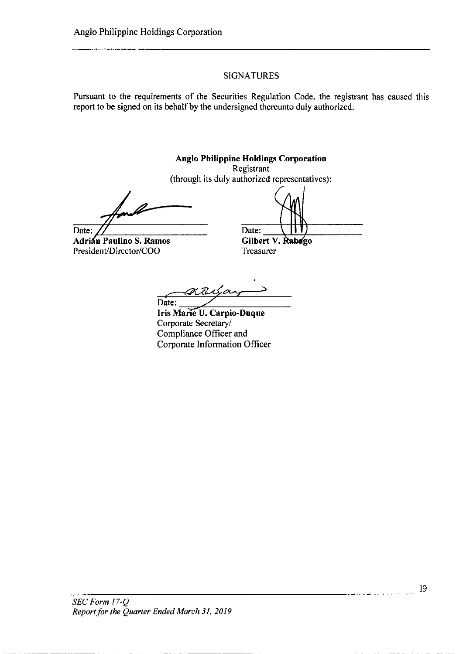# **SIGNATURES**

Pursuant to the requirements of the Securities Regulation Code, the registrant has caused this report to be signed on its behalf by the undersigned thereunto duly authorized.

**Anglo Philippine Holdings Corporation** Registrant (through its duly authorized representatives): Date: Date: Gilbert V. Rabago Adrián Paulino S. Ramos President/Director/COO Treasurer

attigay Date:

Iris Marie U. Carpio-Duque Corporate Secretary/ Compliance Officer and Corporate Information Officer

 $SEC\ Form\ 17-Q$ Report for the Quarter Ended March 31, 2019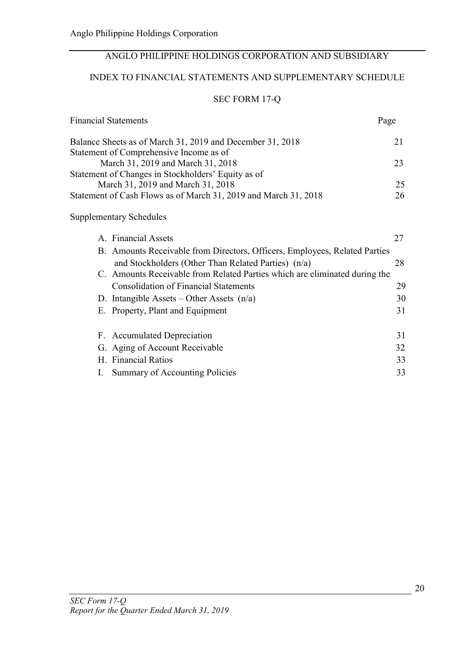# ANGLO PHILIPPINE HOLDINGS CORPORATION AND SUBSIDIARY

# INDEX TO FINANCIAL STATEMENTS AND SUPPLEMENTARY SCHEDULE

# SEC FORM 17-Q

| <b>Financial Statements</b>                                                | Page |
|----------------------------------------------------------------------------|------|
| Balance Sheets as of March 31, 2019 and December 31, 2018                  | 21   |
| Statement of Comprehensive Income as of                                    |      |
| March 31, 2019 and March 31, 2018                                          | 23   |
| Statement of Changes in Stockholders' Equity as of                         |      |
| March 31, 2019 and March 31, 2018                                          | 25   |
| Statement of Cash Flows as of March 31, 2019 and March 31, 2018            | 26   |
| <b>Supplementary Schedules</b>                                             |      |
| A. Financial Assets                                                        | 27   |
| B. Amounts Receivable from Directors, Officers, Employees, Related Parties |      |
| and Stockholders (Other Than Related Parties) (n/a)                        | 28   |
| C. Amounts Receivable from Related Parties which are eliminated during the |      |
| <b>Consolidation of Financial Statements</b>                               | 29   |
| D. Intangible Assets – Other Assets $(n/a)$                                | 30   |
| E. Property, Plant and Equipment                                           | 31   |
| F. Accumulated Depreciation                                                | 31   |
| G. Aging of Account Receivable                                             | 32   |
| H. Financial Ratios                                                        | 33   |
| Summary of Accounting Policies<br>I.                                       | 33   |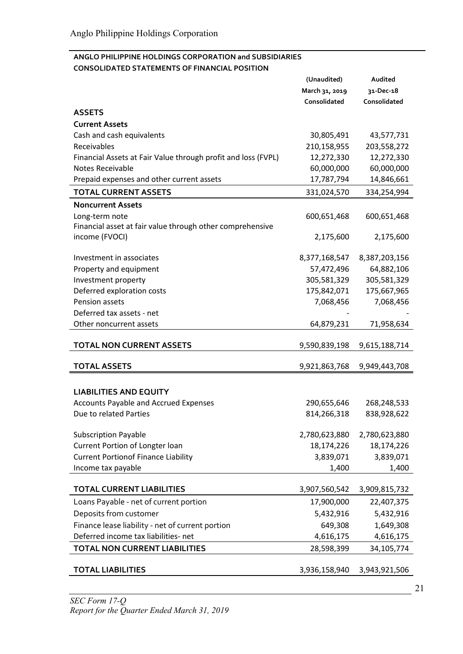# ANGLO PHILIPPINE HOLDINGS CORPORATION and SUBSIDIARIES CONSOLIDATED STATEMENTS OF FINANCIAL POSITION

|                                                               | (Unaudited)    | Audited       |
|---------------------------------------------------------------|----------------|---------------|
|                                                               | March 31, 2019 | 31-Dec-18     |
|                                                               | Consolidated   | Consolidated  |
| <b>ASSETS</b>                                                 |                |               |
| <b>Current Assets</b>                                         |                |               |
| Cash and cash equivalents                                     | 30,805,491     | 43,577,731    |
| Receivables                                                   | 210,158,955    | 203,558,272   |
| Financial Assets at Fair Value through profit and loss (FVPL) | 12,272,330     | 12,272,330    |
| Notes Receivable                                              | 60,000,000     | 60,000,000    |
| Prepaid expenses and other current assets                     | 17,787,794     | 14,846,661    |
| <b>TOTAL CURRENT ASSETS</b>                                   | 331,024,570    | 334,254,994   |
| <b>Noncurrent Assets</b>                                      |                |               |
| Long-term note                                                | 600,651,468    | 600,651,468   |
| Financial asset at fair value through other comprehensive     |                |               |
| income (FVOCI)                                                | 2,175,600      | 2,175,600     |
|                                                               |                |               |
| Investment in associates                                      | 8,377,168,547  | 8,387,203,156 |
| Property and equipment                                        | 57,472,496     | 64,882,106    |
| Investment property                                           | 305,581,329    | 305,581,329   |
| Deferred exploration costs                                    | 175,842,071    | 175,667,965   |
| Pension assets                                                | 7,068,456      | 7,068,456     |
| Deferred tax assets - net                                     |                |               |
| Other noncurrent assets                                       | 64,879,231     | 71,958,634    |
| <b>TOTAL NON CURRENT ASSETS</b>                               | 9,590,839,198  | 9,615,188,714 |
| <b>TOTAL ASSETS</b>                                           | 9,921,863,768  | 9,949,443,708 |
|                                                               |                |               |
| <b>LIABILITIES AND EQUITY</b>                                 |                |               |
| Accounts Payable and Accrued Expenses                         | 290,655,646    | 268,248,533   |
| Due to related Parties                                        | 814,266,318    | 838,928,622   |
|                                                               |                |               |
| <b>Subscription Payable</b>                                   | 2,780,623,880  | 2,780,623,880 |
| Current Portion of Longter loan                               | 18,174,226     | 18,174,226    |
| <b>Current Portionof Finance Liability</b>                    | 3,839,071      | 3,839,071     |
| Income tax payable                                            | 1,400          | 1,400         |
|                                                               |                |               |
| <b>TOTAL CURRENT LIABILITIES</b>                              | 3,907,560,542  | 3,909,815,732 |
| Loans Payable - net of current portion                        | 17,900,000     | 22,407,375    |
| Deposits from customer                                        | 5,432,916      | 5,432,916     |
| Finance lease liability - net of current portion              | 649,308        | 1,649,308     |
| Deferred income tax liabilities- net                          | 4,616,175      | 4,616,175     |
| <b>TOTAL NON CURRENT LIABILITIES</b>                          | 28,598,399     | 34,105,774    |
|                                                               |                |               |
| <b>TOTAL LIABILITIES</b>                                      | 3,936,158,940  | 3,943,921,506 |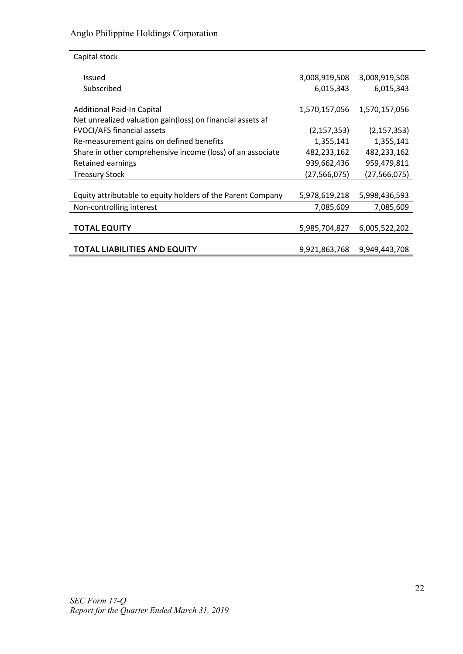| Capital stock                                               |                |               |
|-------------------------------------------------------------|----------------|---------------|
| <b>Issued</b>                                               | 3,008,919,508  | 3,008,919,508 |
| Subscribed                                                  | 6,015,343      | 6,015,343     |
| <b>Additional Paid-In Capital</b>                           | 1,570,157,056  | 1,570,157,056 |
| Net unrealized valuation gain(loss) on financial assets af  |                |               |
| <b>FVOCI/AFS financial assets</b>                           | (2, 157, 353)  | (2, 157, 353) |
| Re-measurement gains on defined benefits                    | 1,355,141      | 1,355,141     |
| Share in other comprehensive income (loss) of an associate  | 482,233,162    | 482,233,162   |
| Retained earnings                                           | 939,662,436    | 959,479,811   |
| <b>Treasury Stock</b>                                       | (27, 566, 075) | (27,566,075)  |
|                                                             |                |               |
| Equity attributable to equity holders of the Parent Company | 5,978,619,218  | 5,998,436,593 |
| Non-controlling interest                                    | 7,085,609      | 7,085,609     |
|                                                             |                |               |
| <b>TOTAL EQUITY</b>                                         | 5,985,704,827  | 6,005,522,202 |
|                                                             |                |               |
| <b>TOTAL LIABILITIES AND EQUITY</b>                         | 9,921,863,768  | 9,949,443,708 |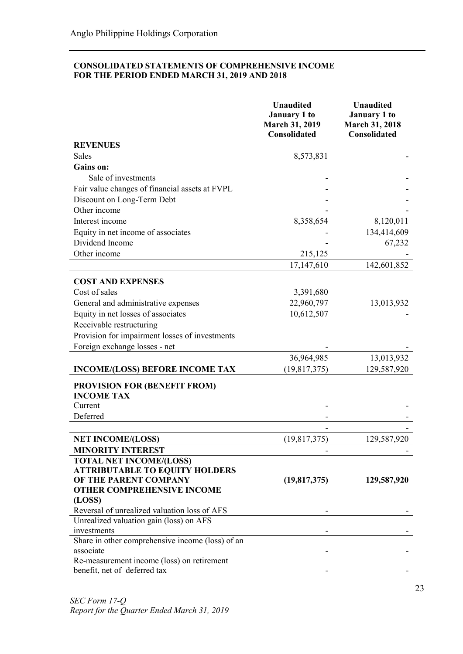# CONSOLIDATED STATEMENTS OF COMPREHENSIVE INCOME FOR THE PERIOD ENDED MARCH 31, 2019 AND 2018

|                                                                            | <b>Unaudited</b><br><b>January 1 to</b><br><b>March 31, 2019</b><br>Consolidated | <b>Unaudited</b><br><b>January 1 to</b><br><b>March 31, 2018</b><br>Consolidated |
|----------------------------------------------------------------------------|----------------------------------------------------------------------------------|----------------------------------------------------------------------------------|
| <b>REVENUES</b>                                                            |                                                                                  |                                                                                  |
| <b>Sales</b>                                                               | 8,573,831                                                                        |                                                                                  |
| <b>Gains on:</b>                                                           |                                                                                  |                                                                                  |
| Sale of investments                                                        |                                                                                  |                                                                                  |
| Fair value changes of financial assets at FVPL                             |                                                                                  |                                                                                  |
| Discount on Long-Term Debt<br>Other income                                 |                                                                                  |                                                                                  |
| Interest income                                                            |                                                                                  |                                                                                  |
| Equity in net income of associates                                         | 8,358,654                                                                        | 8,120,011                                                                        |
| Dividend Income                                                            |                                                                                  | 134,414,609<br>67,232                                                            |
| Other income                                                               | 215,125                                                                          |                                                                                  |
|                                                                            | 17,147,610                                                                       | 142,601,852                                                                      |
|                                                                            |                                                                                  |                                                                                  |
| <b>COST AND EXPENSES</b>                                                   |                                                                                  |                                                                                  |
| Cost of sales                                                              | 3,391,680                                                                        |                                                                                  |
| General and administrative expenses                                        | 22,960,797                                                                       | 13,013,932                                                                       |
| Equity in net losses of associates                                         | 10,612,507                                                                       |                                                                                  |
| Receivable restructuring                                                   |                                                                                  |                                                                                  |
| Provision for impairment losses of investments                             |                                                                                  |                                                                                  |
| Foreign exchange losses - net                                              |                                                                                  |                                                                                  |
|                                                                            | 36,964,985                                                                       | 13,013,932                                                                       |
| <b>INCOME/(LOSS) BEFORE INCOME TAX</b>                                     | (19, 817, 375)                                                                   | 129,587,920                                                                      |
| <b>PROVISION FOR (BENEFIT FROM)</b><br><b>INCOME TAX</b>                   |                                                                                  |                                                                                  |
| Current                                                                    |                                                                                  |                                                                                  |
| Deferred                                                                   |                                                                                  |                                                                                  |
|                                                                            |                                                                                  |                                                                                  |
| <b>NET INCOME/(LOSS)</b>                                                   | (19, 817, 375)                                                                   | 129,587,920                                                                      |
| <b>MINORITY INTEREST</b>                                                   |                                                                                  |                                                                                  |
| <b>TOTAL NET INCOME/(LOSS)</b><br><b>ATTRIBUTABLE TO EQUITY HOLDERS</b>    |                                                                                  |                                                                                  |
| OF THE PARENT COMPANY                                                      | (19,817,375)                                                                     | 129,587,920                                                                      |
| <b>OTHER COMPREHENSIVE INCOME</b>                                          |                                                                                  |                                                                                  |
| (LOSS)                                                                     |                                                                                  |                                                                                  |
| Reversal of unrealized valuation loss of AFS                               |                                                                                  |                                                                                  |
| Unrealized valuation gain (loss) on AFS                                    |                                                                                  |                                                                                  |
| investments                                                                |                                                                                  |                                                                                  |
| Share in other comprehensive income (loss) of an                           |                                                                                  |                                                                                  |
| associate                                                                  |                                                                                  |                                                                                  |
| Re-measurement income (loss) on retirement<br>benefit, net of deferred tax |                                                                                  |                                                                                  |
|                                                                            |                                                                                  |                                                                                  |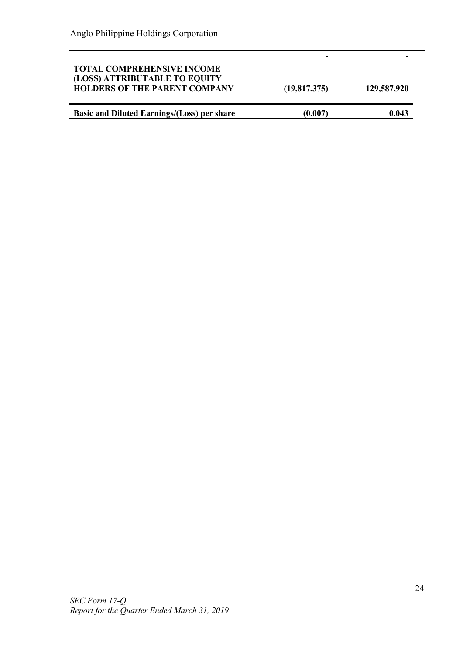| <b>TOTAL COMPREHENSIVE INCOME</b><br>(LOSS) ATTRIBUTABLE TO EQUITY<br><b>HOLDERS OF THE PARENT COMPANY</b> | (19,817,375) | 129,587,920 |
|------------------------------------------------------------------------------------------------------------|--------------|-------------|
| <b>Basic and Diluted Earnings/(Loss) per share</b>                                                         | (0.007)      | 0.043       |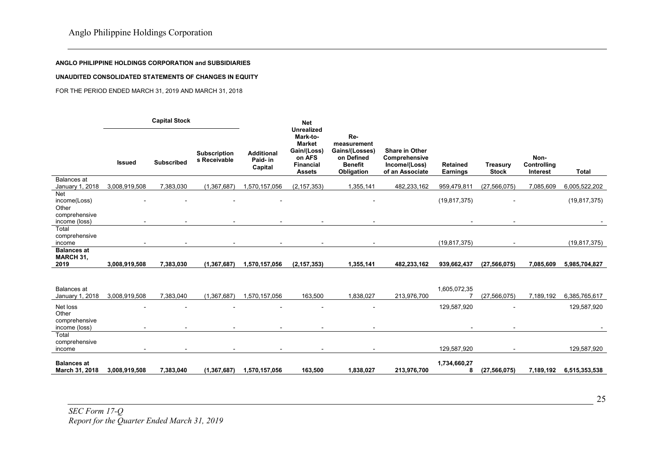#### ANGLO PHILIPPINE HOLDINGS CORPORATION and SUBSIDIARIES

#### UNAUDITED CONSOLIDATED STATEMENTS OF CHANGES IN EQUITY

#### FOR THE PERIOD ENDED MARCH 31, 2019 AND MARCH 31, 2018

|                                                     |               | <b>Capital Stock</b>     |                              |                                          | <b>Net</b>                                                                                                   |                                                                                    |                                                                            |                                    |                                 |                                 |                |
|-----------------------------------------------------|---------------|--------------------------|------------------------------|------------------------------------------|--------------------------------------------------------------------------------------------------------------|------------------------------------------------------------------------------------|----------------------------------------------------------------------------|------------------------------------|---------------------------------|---------------------------------|----------------|
|                                                     | <b>Issued</b> | <b>Subscribed</b>        | Subscription<br>s Receivable | <b>Additional</b><br>Paid- in<br>Capital | <b>Unrealized</b><br>Mark-to-<br><b>Market</b><br>Gain/(Loss)<br>on AFS<br><b>Financial</b><br><b>Assets</b> | Re-<br>measurement<br>Gains/(Losses)<br>on Defined<br><b>Benefit</b><br>Obligation | <b>Share in Other</b><br>Comprehensive<br>Income/(Loss)<br>of an Associate | <b>Retained</b><br><b>Earnings</b> | <b>Treasury</b><br><b>Stock</b> | Non-<br>Controlling<br>Interest | <b>Total</b>   |
| <b>Balances</b> at<br>January 1, 2018               | 3,008,919,508 | 7,383,030                | (1,367,687)                  | 1,570,157,056                            | (2, 157, 353)                                                                                                | 1,355,141                                                                          | 482,233,162                                                                | 959,479,811                        | (27, 566, 075)                  | 7,085,609                       | 6,005,522,202  |
| <b>Net</b><br>income(Loss)<br>Other                 |               |                          |                              |                                          |                                                                                                              |                                                                                    |                                                                            | (19, 817, 375)                     |                                 |                                 | (19, 817, 375) |
| comprehensive<br>income (loss)                      |               |                          |                              |                                          |                                                                                                              |                                                                                    |                                                                            |                                    |                                 |                                 |                |
| Total<br>comprehensive<br>income                    |               | $\overline{\phantom{a}}$ |                              | $\overline{\phantom{a}}$                 | $\overline{\phantom{a}}$                                                                                     | $\overline{\phantom{a}}$                                                           |                                                                            | (19, 817, 375)                     | $\overline{\phantom{a}}$        |                                 | (19, 817, 375) |
| <b>Balances at</b><br><b>MARCH 31,</b><br>2019      | 3,008,919,508 | 7,383,030                | (1, 367, 687)                | 1,570,157,056                            | (2, 157, 353)                                                                                                | 1,355,141                                                                          | 482,233,162                                                                | 939,662,437                        | (27, 566, 075)                  | 7,085,609                       | 5,985,704,827  |
| Balances at<br>January 1, 2018                      | 3,008,919,508 | 7,383,040                | (1,367,687)                  | 1,570,157,056                            | 163,500                                                                                                      | 1,838,027                                                                          | 213,976,700                                                                | 1,605,072,35                       | (27, 566, 075)                  | 7,189,192                       | 6,385,765,617  |
| Net loss<br>Other<br>comprehensive<br>income (loss) |               |                          |                              |                                          |                                                                                                              |                                                                                    |                                                                            | 129,587,920                        |                                 |                                 | 129,587,920    |
| Total<br>comprehensive<br>income                    |               |                          |                              |                                          |                                                                                                              |                                                                                    |                                                                            | 129,587,920                        |                                 |                                 | 129,587,920    |
| <b>Balances at</b><br>March 31, 2018                | 3,008,919,508 | 7,383,040                | (1, 367, 687)                | 1,570,157,056                            | 163,500                                                                                                      | 1,838,027                                                                          | 213,976,700                                                                | 1,734,660,27<br>8                  | (27, 566, 075)                  | 7,189,192                       | 6,515,353,538  |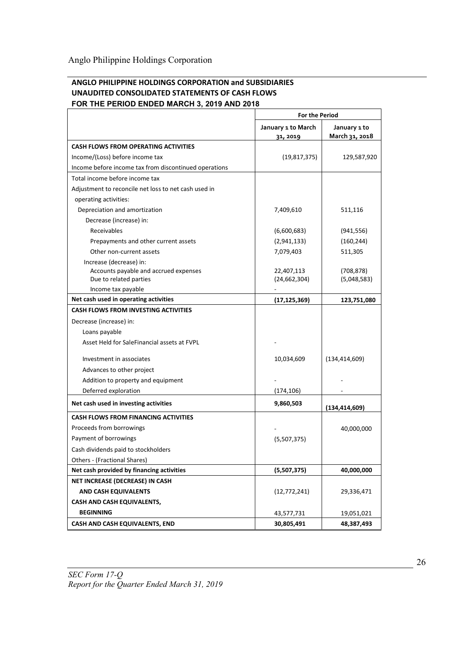# ANGLO PHILIPPINE HOLDINGS CORPORATION and SUBSIDIARIES UNAUDITED CONSOLIDATED STATEMENTS OF CASH FLOWS FOR THE PERIOD ENDED MARCH 3, 2019 AND 2018

|                                                             | <b>For the Period</b>          |                                |  |
|-------------------------------------------------------------|--------------------------------|--------------------------------|--|
|                                                             | January 1 to March<br>31, 2019 | January 1 to<br>March 31, 2018 |  |
| <b>CASH FLOWS FROM OPERATING ACTIVITIES</b>                 |                                |                                |  |
| Income/(Loss) before income tax                             | (19, 817, 375)                 | 129,587,920                    |  |
| Income before income tax from discontinued operations       |                                |                                |  |
| Total income before income tax                              |                                |                                |  |
| Adjustment to reconcile net loss to net cash used in        |                                |                                |  |
| operating activities:                                       |                                |                                |  |
| Depreciation and amortization                               | 7,409,610                      | 511,116                        |  |
| Decrease (increase) in:                                     |                                |                                |  |
| Receivables                                                 | (6,600,683)                    | (941, 556)                     |  |
| Prepayments and other current assets                        | (2,941,133)                    | (160, 244)                     |  |
| Other non-current assets                                    | 7,079,403                      | 511,305                        |  |
| Increase (decrease) in:                                     |                                |                                |  |
| Accounts payable and accrued expenses                       | 22,407,113                     | (708, 878)                     |  |
| Due to related parties                                      | (24, 662, 304)                 | (5,048,583)                    |  |
| Income tax payable<br>Net cash used in operating activities |                                |                                |  |
| <b>CASH FLOWS FROM INVESTING ACTIVITIES</b>                 | (17, 125, 369)                 | 123,751,080                    |  |
| Decrease (increase) in:                                     |                                |                                |  |
| Loans payable                                               |                                |                                |  |
| Asset Held for SaleFinancial assets at FVPL                 |                                |                                |  |
|                                                             |                                |                                |  |
| Investment in associates                                    | 10,034,609                     | (134, 414, 609)                |  |
| Advances to other project                                   |                                |                                |  |
| Addition to property and equipment                          |                                |                                |  |
| Deferred exploration                                        | (174, 106)                     |                                |  |
| Net cash used in investing activities                       | 9,860,503                      | (134, 414, 609)                |  |
| <b>CASH FLOWS FROM FINANCING ACTIVITIES</b>                 |                                |                                |  |
| Proceeds from borrowings                                    |                                | 40,000,000                     |  |
| Payment of borrowings                                       | (5,507,375)                    |                                |  |
| Cash dividends paid to stockholders                         |                                |                                |  |
| Others - (Fractional Shares)                                |                                |                                |  |
| Net cash provided by financing activities                   | (5,507,375)                    | 40,000,000                     |  |
| NET INCREASE (DECREASE) IN CASH                             |                                |                                |  |
| <b>AND CASH EQUIVALENTS</b>                                 | (12, 772, 241)                 | 29,336,471                     |  |
| CASH AND CASH EQUIVALENTS,                                  |                                |                                |  |
| <b>BEGINNING</b>                                            | 43,577,731                     | 19,051,021                     |  |
| <b>CASH AND CASH EQUIVALENTS, END</b>                       | 30,805,491                     | 48,387,493                     |  |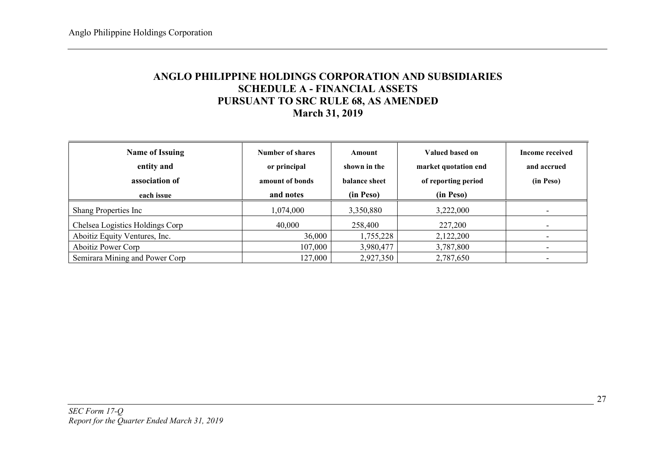# ANGLO PHILIPPINE HOLDINGS CORPORATION AND SUBSIDIARIES SCHEDULE A - FINANCIAL ASSETS PURSUANT TO SRC RULE 68, AS AMENDED March 31, 2019

| <b>Name of Issuing</b><br>entity and<br>association of<br>each issue | Number of shares<br>or principal<br>amount of bonds<br>and notes | Amount<br>shown in the<br>balance sheet<br>(in Peso) | Valued based on<br>market quotation end<br>of reporting period<br>(in Peso) | <b>Income received</b><br>and accrued<br>(in Peso) |
|----------------------------------------------------------------------|------------------------------------------------------------------|------------------------------------------------------|-----------------------------------------------------------------------------|----------------------------------------------------|
| Shang Properties Inc                                                 | 1,074,000                                                        | 3,350,880                                            | 3,222,000                                                                   |                                                    |
| Chelsea Logistics Holdings Corp                                      | 40,000                                                           | 258,400                                              | 227,200                                                                     |                                                    |
| Aboitiz Equity Ventures, Inc.                                        | 36,000                                                           | 1,755,228                                            | 2,122,200                                                                   |                                                    |
| <b>Aboitiz Power Corp</b>                                            | 107,000                                                          | 3,980,477                                            | 3,787,800                                                                   |                                                    |
| Semirara Mining and Power Corp                                       | 127,000                                                          | 2,927,350                                            | 2,787,650                                                                   |                                                    |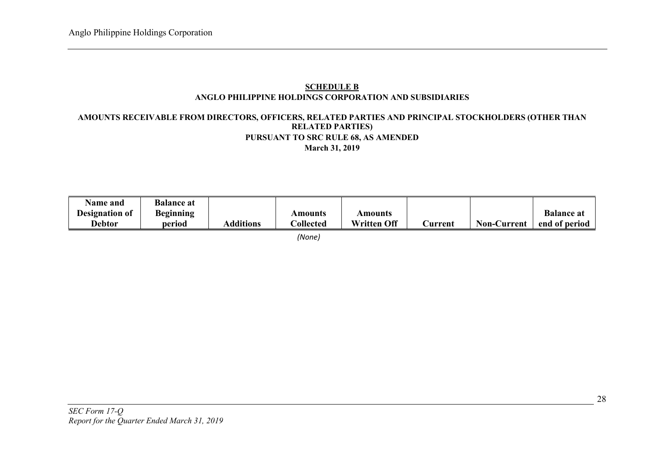# SCHEDULE B ANGLO PHILIPPINE HOLDINGS CORPORATION AND SUBSIDIARIES

# AMOUNTS RECEIVABLE FROM DIRECTORS, OFFICERS, RELATED PARTIES AND PRINCIPAL STOCKHOLDERS (OTHER THAN RELATED PARTIES) PURSUANT TO SRC RULE 68, AS AMENDED March 31, 2019

| <b>Name and</b> | <b>Balance at</b> |                  |                 |                    |                |                    |                   |
|-----------------|-------------------|------------------|-----------------|--------------------|----------------|--------------------|-------------------|
| Designation of  | <b>Beginning</b>  |                  | Amounts         | Amounts            |                |                    | <b>Balance at</b> |
| <b>Debtor</b>   | period            | <b>Additions</b> | $\cap$ ollected | <b>Written Off</b> | <b>Current</b> | <b>Non-Current</b> | end of period     |

*(None)*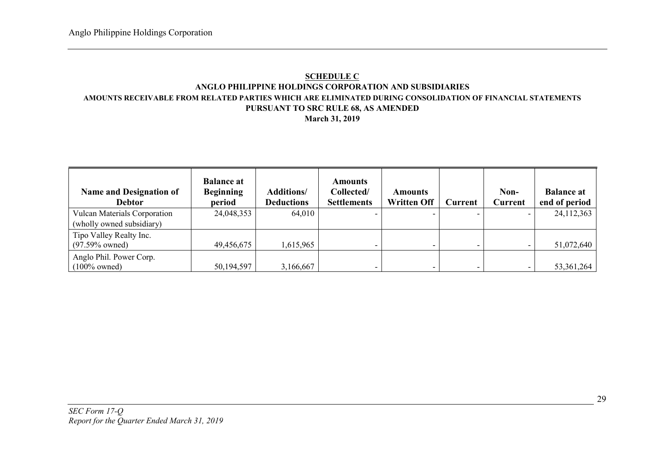# **SCHEDULE C** ANGLO PHILIPPINE HOLDINGS CORPORATION AND SUBSIDIARIES AMOUNTS RECEIVABLE FROM RELATED PARTIES WHICH ARE ELIMINATED DURING CONSOLIDATION OF FINANCIAL STATEMENTS PURSUANT TO SRC RULE 68, AS AMENDED

# March 31, 2019

| <b>Name and Designation of</b><br><b>Debtor</b> | <b>Balance at</b><br><b>Beginning</b><br>period | <b>Additions/</b><br><b>Deductions</b> | <b>Amounts</b><br>Collected/<br><b>Settlements</b> | Amounts<br><b>Written Off</b> | Current | Non-<br>Current | <b>Balance at</b><br>end of period |
|-------------------------------------------------|-------------------------------------------------|----------------------------------------|----------------------------------------------------|-------------------------------|---------|-----------------|------------------------------------|
| <b>Vulcan Materials Corporation</b>             | 24,048,353                                      | 64,010                                 |                                                    |                               |         |                 | 24,112,363                         |
| (wholly owned subsidiary)                       |                                                 |                                        |                                                    |                               |         |                 |                                    |
| Tipo Valley Realty Inc.                         |                                                 |                                        |                                                    |                               |         |                 |                                    |
| $(97.59\%$ owned)                               | 49,456,675                                      | 1,615,965                              |                                                    |                               |         |                 | 51,072,640                         |
| Anglo Phil. Power Corp.                         |                                                 |                                        |                                                    |                               |         |                 |                                    |
| $(100\%$ owned)                                 | 50,194,597                                      | 3,166,667                              | -                                                  |                               |         |                 | 53, 361, 264                       |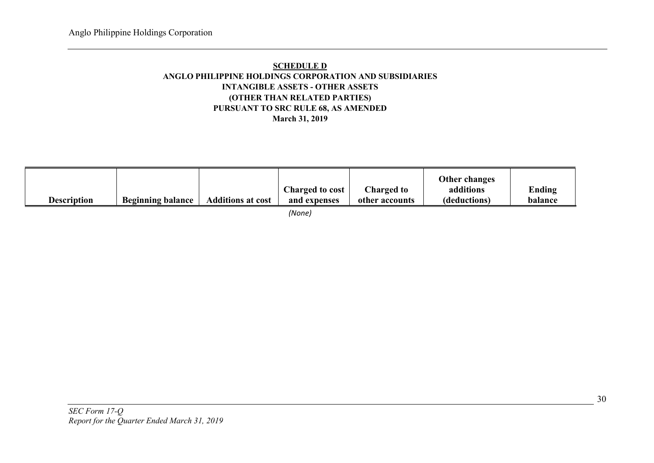# SCHEDULE D ANGLO PHILIPPINE HOLDINGS CORPORATION AND SUBSIDIARIES INTANGIBLE ASSETS - OTHER ASSETS (OTHER THAN RELATED PARTIES) PURSUANT TO SRC RULE 68, AS AMENDED March 31, 2019

| Description | <b>Beginning balance</b> | <b>Additions at cost</b> | Charged to cost<br>and expenses | Charged to<br>other accounts | Other changes<br>additions<br>(deductions) | Ending<br>balance |
|-------------|--------------------------|--------------------------|---------------------------------|------------------------------|--------------------------------------------|-------------------|
|             |                          |                          |                                 |                              |                                            |                   |

*(None)*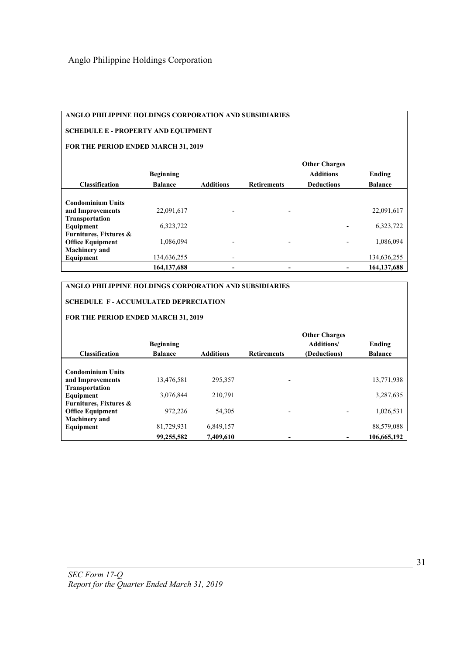# ANGLO PHILIPPINE HOLDINGS CORPORATION AND SUBSIDIARIES

## SCHEDULE E - PROPERTY AND EQUIPMENT

## FOR THE PERIOD ENDED MARCH 31, 2019

|                          | <b>Beginning</b> |                  |                          | <b>Other Charges</b><br><b>Additions</b> | Ending         |
|--------------------------|------------------|------------------|--------------------------|------------------------------------------|----------------|
| <b>Classification</b>    | <b>Balance</b>   | <b>Additions</b> | <b>Retirements</b>       | <b>Deductions</b>                        | <b>Balance</b> |
|                          |                  |                  |                          |                                          |                |
| <b>Condominium Units</b> |                  |                  |                          |                                          |                |
| and Improvements         | 22,091,617       |                  | $\overline{\phantom{a}}$ |                                          | 22,091,617     |
| <b>Transportation</b>    |                  |                  |                          |                                          |                |
| Equipment                | 6,323,722        |                  |                          |                                          | 6,323,722      |
| Furnitures, Fixtures &   |                  |                  |                          |                                          |                |
| <b>Office Equipment</b>  | 1,086,094        |                  | $\overline{\phantom{a}}$ |                                          | 1,086,094      |
| <b>Machinery</b> and     |                  |                  |                          |                                          |                |
| Equipment                | 134,636,255      | -                |                          |                                          | 134,636,255    |
|                          | 164, 137, 688    |                  |                          |                                          | 164, 137, 688  |

# ANGLO PHILIPPINE HOLDINGS CORPORATION AND SUBSIDIARIES

# SCHEDULE F - ACCUMULATED DEPRECIATION

## FOR THE PERIOD ENDED MARCH 31, 2019

|                                   |                  |                  |                    | <b>Other Charges</b> |                |
|-----------------------------------|------------------|------------------|--------------------|----------------------|----------------|
|                                   | <b>Beginning</b> |                  |                    | <b>Additions/</b>    | Ending         |
| <b>Classification</b>             | <b>Balance</b>   | <b>Additions</b> | <b>Retirements</b> | (Deductions)         | <b>Balance</b> |
|                                   |                  |                  |                    |                      |                |
| <b>Condominium Units</b>          |                  |                  |                    |                      |                |
| and Improvements                  | 13,476,581       | 295,357          |                    |                      | 13,771,938     |
| <b>Transportation</b>             |                  |                  |                    |                      |                |
| Equipment                         | 3,076,844        | 210,791          |                    |                      | 3,287,635      |
| <b>Furnitures, Fixtures &amp;</b> |                  |                  |                    |                      |                |
| <b>Office Equipment</b>           | 972,226          | 54,305           |                    |                      | 1,026,531      |
| <b>Machinery</b> and              |                  |                  |                    |                      |                |
| Equipment                         | 81,729,931       | 6,849,157        |                    |                      | 88,579,088     |
|                                   | 99,255,582       | 7,409,610        |                    |                      | 106,665,192    |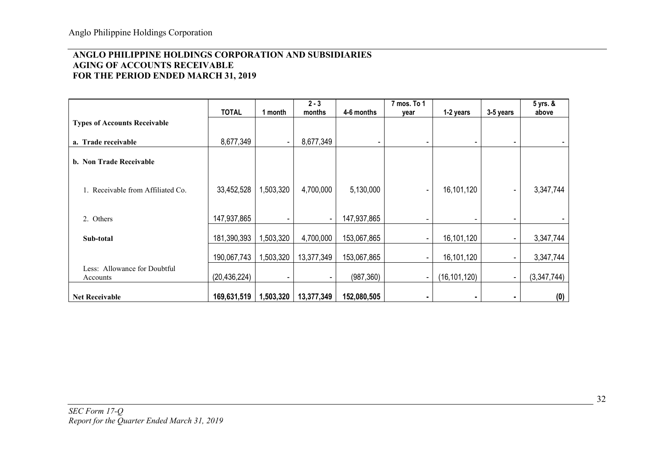# ANGLO PHILIPPINE HOLDINGS CORPORATION AND SUBSIDIARIES AGING OF ACCOUNTS RECEIVABLE FOR THE PERIOD ENDED MARCH 31, 2019

|                                          | <b>TOTAL</b>   | 1 month   | $2 - 3$<br>months | 4-6 months  | 7 mos. To 1<br>year      | 1-2 years      | 3-5 years                | 5 yrs. &<br>above |
|------------------------------------------|----------------|-----------|-------------------|-------------|--------------------------|----------------|--------------------------|-------------------|
| <b>Types of Accounts Receivable</b>      |                |           |                   |             |                          |                |                          |                   |
| a. Trade receivable                      | 8,677,349      | $\sim$    | 8,677,349         | ٠           | $\overline{\phantom{a}}$ |                |                          |                   |
| b. Non Trade Receivable                  |                |           |                   |             |                          |                |                          |                   |
| 1. Receivable from Affiliated Co.        | 33,452,528     | 1,503,320 | 4,700,000         | 5,130,000   | $\overline{\phantom{a}}$ | 16,101,120     |                          | 3,347,744         |
| 2. Others                                | 147,937,865    |           | ٠                 | 147,937,865 |                          |                |                          |                   |
| Sub-total                                | 181,390,393    | 1,503,320 | 4,700,000         | 153,067,865 |                          | 16,101,120     |                          | 3,347,744         |
|                                          | 190,067,743    | 1,503,320 | 13,377,349        | 153,067,865 |                          | 16,101,120     |                          | 3,347,744         |
| Less: Allowance for Doubtful<br>Accounts | (20, 436, 224) |           |                   | (987, 360)  | $\overline{\phantom{a}}$ | (16, 101, 120) | $\overline{\phantom{a}}$ | (3,347,744)       |
| <b>Net Receivable</b>                    | 169,631,519    | 1,503,320 | 13,377,349        | 152,080,505 |                          |                |                          | (0)               |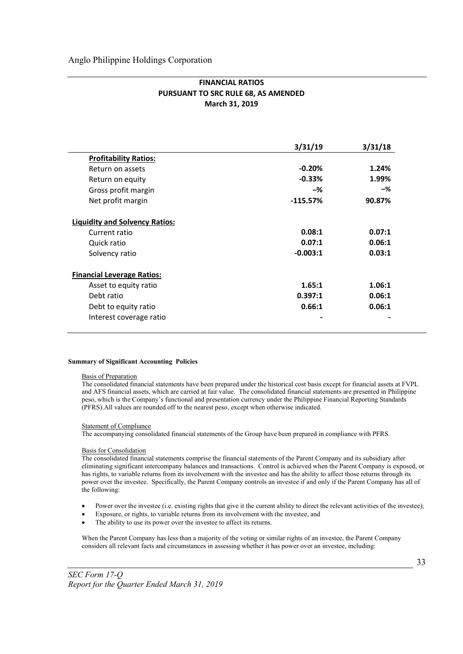|                                       | 3/31/19    | 3/31/18 |
|---------------------------------------|------------|---------|
| <b>Profitability Ratios:</b>          |            |         |
| Return on assets                      | $-0.20%$   | 1.24%   |
| Return on equity                      | $-0.33%$   | 1.99%   |
| Gross profit margin                   | -%         | -%      |
| Net profit margin                     | $-115.57%$ | 90.87%  |
| <b>Liquidity and Solvency Ratios:</b> |            |         |
| Current ratio                         | 0.08:1     | 0.07:1  |
| Quick ratio                           | 0.07:1     | 0.06:1  |
| Solvency ratio                        | $-0.003:1$ | 0.03:1  |
| <b>Financial Leverage Ratios:</b>     |            |         |
| Asset to equity ratio                 | 1.65:1     | 1.06:1  |
| Debt ratio                            | 0.397:1    | 0.06:1  |
| Debt to equity ratio                  | 0.66:1     | 0.06:1  |
| Interest coverage ratio               |            |         |

## FINANCIAL RATIOS PURSUANT TO SRC RULE 68, AS AMENDED March 31, 2019

#### Summary of Significant Accounting Policies

#### Basis of Preparation

The consolidated financial statements have been prepared under the historical cost basis except for financial assets at FVPL and AFS financial assets, which are carried at fair value. The consolidated financial statements are presented in Philippine peso, which is the Company's functional and presentation currency under the Philippine Financial Reporting Standards (PFRS).All values are rounded off to the nearest peso, except when otherwise indicated.

#### Statement of Compliance

The accompanying consolidated financial statements of the Group have been prepared in compliance with PFRS.

#### Basis for Consolidation

The consolidated financial statements comprise the financial statements of the Parent Company and its subsidiary after eliminating significant intercompany balances and transactions. Control is achieved when the Parent Company is exposed, or has rights, to variable returns from its involvement with the investee and has the ability to affect those returns through its power over the investee. Specifically, the Parent Company controls an investee if and only if the Parent Company has all of the following:

- Power over the investee (i.e. existing rights that give it the current ability to direct the relevant activities of the investee);
- Exposure, or rights, to variable returns from its involvement with the investee, and
- The ability to use its power over the investee to affect its returns.

When the Parent Company has less than a majority of the voting or similar rights of an investee, the Parent Company considers all relevant facts and circumstances in assessing whether it has power over an investee, including: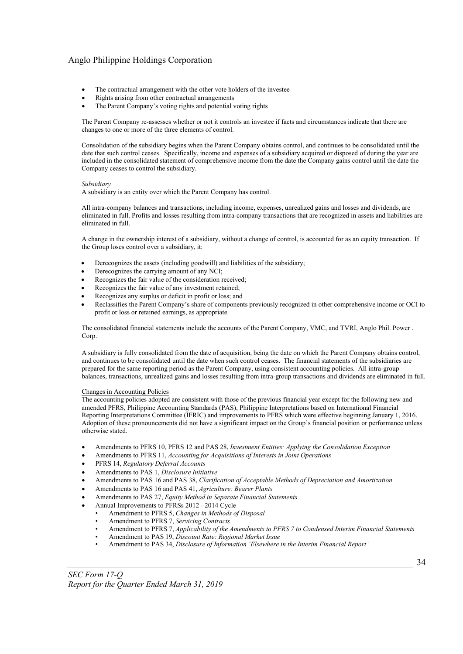- The contractual arrangement with the other vote holders of the investee
- Rights arising from other contractual arrangements
- The Parent Company's voting rights and potential voting rights

The Parent Company re-assesses whether or not it controls an investee if facts and circumstances indicate that there are changes to one or more of the three elements of control.

Consolidation of the subsidiary begins when the Parent Company obtains control, and continues to be consolidated until the date that such control ceases. Specifically, income and expenses of a subsidiary acquired or disposed of during the year are included in the consolidated statement of comprehensive income from the date the Company gains control until the date the Company ceases to control the subsidiary.

#### *Subsidiary*

A subsidiary is an entity over which the Parent Company has control.

All intra-company balances and transactions, including income, expenses, unrealized gains and losses and dividends, are eliminated in full. Profits and losses resulting from intra-company transactions that are recognized in assets and liabilities are eliminated in full.

A change in the ownership interest of a subsidiary, without a change of control, is accounted for as an equity transaction. If the Group loses control over a subsidiary, it:

- Derecognizes the assets (including goodwill) and liabilities of the subsidiary;
- Derecognizes the carrying amount of any NCI;
- Recognizes the fair value of the consideration received;
- Recognizes the fair value of any investment retained;
- Recognizes any surplus or deficit in profit or loss; and
- Reclassifies the Parent Company's share of components previously recognized in other comprehensive income or OCI to profit or loss or retained earnings, as appropriate.

The consolidated financial statements include the accounts of the Parent Company, VMC, and TVRI, Anglo Phil. Power . Corp.

A subsidiary is fully consolidated from the date of acquisition, being the date on which the Parent Company obtains control, and continues to be consolidated until the date when such control ceases. The financial statements of the subsidiaries are prepared for the same reporting period as the Parent Company, using consistent accounting policies. All intra-group balances, transactions, unrealized gains and losses resulting from intra-group transactions and dividends are eliminated in full.

#### Changes in Accounting Policies

The accounting policies adopted are consistent with those of the previous financial year except for the following new and amended PFRS, Philippine Accounting Standards (PAS), Philippine Interpretations based on International Financial Reporting Interpretations Committee (IFRIC) and improvements to PFRS which were effective beginning January 1, 2016. Adoption of these pronouncements did not have a significant impact on the Group's financial position or performance unless otherwise stated.

- Amendments to PFRS 10, PFRS 12 and PAS 28, *Investment Entities: Applying the Consolidation Exception*
- Amendments to PFRS 11, *Accounting for Acquisitions of Interests in Joint Operations*
- PFRS 14, *Regulatory Deferral Accounts*
- Amendments to PAS 1, *Disclosure Initiative*
- Amendments to PAS 16 and PAS 38, *Clarification of Acceptable Methods of Depreciation and Amortization*
- Amendments to PAS 16 and PAS 41, *Agriculture: Bearer Plants*
- Amendments to PAS 27, *Equity Method in Separate Financial Statements*
- Annual Improvements to PFRSs 2012 2014 Cycle
	- Amendment to PFRS 5, *Changes in Methods of Disposal*
		- Amendment to PFRS 7, *Servicing Contracts*
		- Amendment to PFRS 7, *Applicability of the Amendments to PFRS 7 to Condensed Interim Financial Statements*
	- Amendment to PAS 19, *Discount Rate: Regional Market Issue*
	- Amendment to PAS 34, *Disclosure of Information 'Elsewhere in the Interim Financial Report'*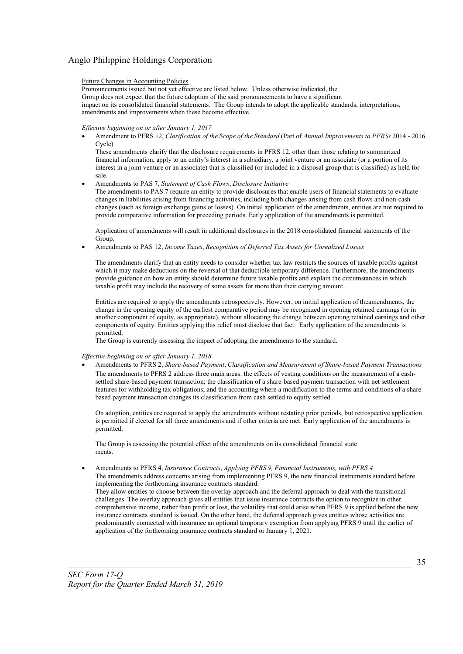#### Future Changes in Accounting Policies

Pronouncements issued but not yet effective are listed below. Unless otherwise indicated, the Group does not expect that the future adoption of the said pronouncements to have a significant impact on its consolidated financial statements. The Group intends to adopt the applicable standards, interpretations, amendments and improvements when these become effective.

#### *Effective beginning on or after January 1, 2017*

 Amendment to PFRS 12, *Clarification of the Scope of the Standard* (Part of *Annual Improvements to PFRSs* 2014 - 2016 Cycle)

These amendments clarify that the disclosure requirements in PFRS 12, other than those relating to summarized financial information, apply to an entity's interest in a subsidiary, a joint venture or an associate (or a portion of its interest in a joint venture or an associate) that is classified (or included in a disposal group that is classified) as held for sale.

Amendments to PAS 7, *Statement of Cash Flows*, *Disclosure Initiative*

The amendments to PAS 7 require an entity to provide disclosures that enable users of financial statements to evaluate changes in liabilities arising from financing activities, including both changes arising from cash flows and non-cash changes (such as foreign exchange gains or losses). On initial application of the amendments, entities are not required to provide comparative information for preceding periods. Early application of the amendments is permitted.

Application of amendments will result in additional disclosures in the 2018 consolidated financial statements of the Group.

Amendments to PAS 12, *Income Taxes*, *Recognition of Deferred Tax Assets for Unrealized Losses*

The amendments clarify that an entity needs to consider whether tax law restricts the sources of taxable profits against which it may make deductions on the reversal of that deductible temporary difference. Furthermore, the amendments provide guidance on how an entity should determine future taxable profits and explain the circumstances in which taxable profit may include the recovery of some assets for more than their carrying amount.

Entities are required to apply the amendments retrospectively. However, on initial application of theamendments, the change in the opening equity of the earliest comparative period may be recognized in opening retained earnings (or in another component of equity, as appropriate), without allocating the change between opening retained earnings and other components of equity. Entities applying this relief must disclose that fact. Early application of the amendments is permitted.

The Group is currently assessing the impact of adopting the amendments to the standard.

#### *Effective beginning on or after January 1, 2018*

 Amendments to PFRS 2, *Share-based Payment*, *Classification and Measurement of Share-based Payment Transactions* The amendments to PFRS 2 address three main areas: the effects of vesting conditions on the measurement of a cashsettled share-based payment transaction; the classification of a share-based payment transaction with net settlement features for withholding tax obligations; and the accounting where a modification to the terms and conditions of a sharebased payment transaction changes its classification from cash settled to equity settled.

On adoption, entities are required to apply the amendments without restating prior periods, but retrospective application is permitted if elected for all three amendments and if other criteria are met. Early application of the amendments is permitted.

The Group is assessing the potential effect of the amendments on its consolidated financial state ments.

 Amendments to PFRS 4, *Insurance Contracts*, *Applying PFRS 9, Financial Instruments, with PFRS 4* The amendments address concerns arising from implementing PFRS 9, the new financial instruments standard before implementing the forthcoming insurance contracts standard.

They allow entities to choose between the overlay approach and the deferral approach to deal with the transitional challenges. The overlay approach gives all entities that issue insurance contracts the option to recognize in other comprehensive income, rather than profit or loss, the volatility that could arise when PFRS 9 is applied before the new insurance contracts standard is issued. On the other hand, the deferral approach gives entities whose activities are predominantly connected with insurance an optional temporary exemption from applying PFRS 9 until the earlier of application of the forthcoming insurance contracts standard or January 1, 2021.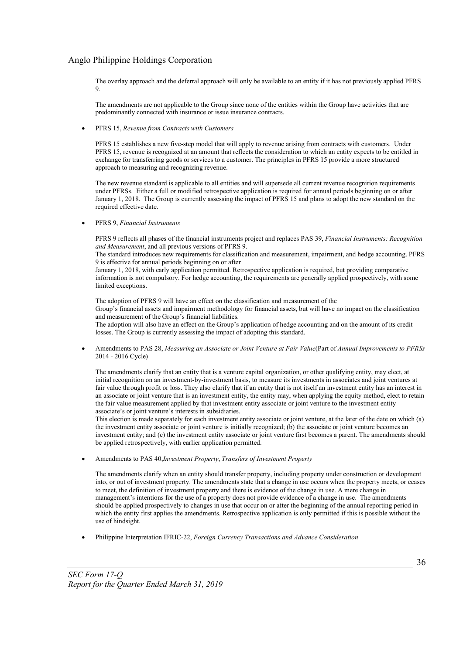The overlay approach and the deferral approach will only be available to an entity if it has not previously applied PFRS 9.

The amendments are not applicable to the Group since none of the entities within the Group have activities that are predominantly connected with insurance or issue insurance contracts.

PFRS 15, *Revenue from Contracts with Customers*

PFRS 15 establishes a new five-step model that will apply to revenue arising from contracts with customers. Under PFRS 15, revenue is recognized at an amount that reflects the consideration to which an entity expects to be entitled in exchange for transferring goods or services to a customer. The principles in PFRS 15 provide a more structured approach to measuring and recognizing revenue.

The new revenue standard is applicable to all entities and will supersede all current revenue recognition requirements under PFRSs. Either a full or modified retrospective application is required for annual periods beginning on or after January 1, 2018. The Group is currently assessing the impact of PFRS 15 and plans to adopt the new standard on the required effective date.

PFRS 9, *Financial Instruments*

PFRS 9 reflects all phases of the financial instruments project and replaces PAS 39, *Financial Instruments: Recognition and Measurement*, and all previous versions of PFRS 9.

The standard introduces new requirements for classification and measurement, impairment, and hedge accounting. PFRS 9 is effective for annual periods beginning on or after

January 1, 2018, with early application permitted. Retrospective application is required, but providing comparative information is not compulsory. For hedge accounting, the requirements are generally applied prospectively, with some limited exceptions.

The adoption of PFRS 9 will have an effect on the classification and measurement of the Group's financial assets and impairment methodology for financial assets, but will have no impact on the classification and measurement of the Group's financial liabilities. The adoption will also have an effect on the Group's application of hedge accounting and on the amount of its credit losses. The Group is currently assessing the impact of adopting this standard.

 Amendments to PAS 28, *Measuring an Associate or Joint Venture at Fair Value*(Part of *Annual Improvements to PFRSs*  2014 - 2016 Cycle)

The amendments clarify that an entity that is a venture capital organization, or other qualifying entity, may elect, at initial recognition on an investment-by-investment basis, to measure its investments in associates and joint ventures at fair value through profit or loss. They also clarify that if an entity that is not itself an investment entity has an interest in an associate or joint venture that is an investment entity, the entity may, when applying the equity method, elect to retain the fair value measurement applied by that investment entity associate or joint venture to the investment entity associate's or joint venture's interests in subsidiaries.

This election is made separately for each investment entity associate or joint venture, at the later of the date on which (a) the investment entity associate or joint venture is initially recognized; (b) the associate or joint venture becomes an investment entity; and (c) the investment entity associate or joint venture first becomes a parent. The amendments should be applied retrospectively, with earlier application permitted.

Amendments to PAS 40,*Investment Property*, *Transfers of Investment Property*

The amendments clarify when an entity should transfer property, including property under construction or development into, or out of investment property. The amendments state that a change in use occurs when the property meets, or ceases to meet, the definition of investment property and there is evidence of the change in use. A mere change in management's intentions for the use of a property does not provide evidence of a change in use. The amendments should be applied prospectively to changes in use that occur on or after the beginning of the annual reporting period in which the entity first applies the amendments. Retrospective application is only permitted if this is possible without the use of hindsight.

Philippine Interpretation IFRIC-22, *Foreign Currency Transactions and Advance Consideration*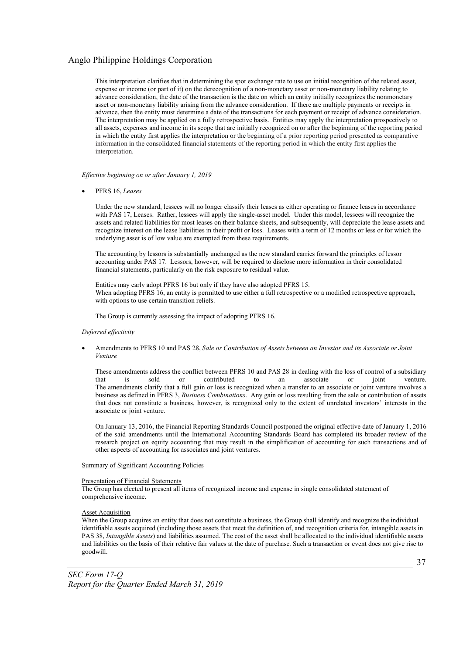This interpretation clarifies that in determining the spot exchange rate to use on initial recognition of the related asset, expense or income (or part of it) on the derecognition of a non-monetary asset or non-monetary liability relating to advance consideration, the date of the transaction is the date on which an entity initially recognizes the nonmonetary asset or non-monetary liability arising from the advance consideration. If there are multiple payments or receipts in advance, then the entity must determine a date of the transactions for each payment or receipt of advance consideration. The interpretation may be applied on a fully retrospective basis. Entities may apply the interpretation prospectively to all assets, expenses and income in its scope that are initially recognized on or after the beginning of the reporting period in which the entity first applies the interpretation or the beginning of a prior reporting period presented as comparative information in the consolidated financial statements of the reporting period in which the entity first applies the interpretation.

*Effective beginning on or after January 1, 2019*

PFRS 16, *Leases*

Under the new standard, lessees will no longer classify their leases as either operating or finance leases in accordance with PAS 17, Leases. Rather, lessees will apply the single-asset model. Under this model, lessees will recognize the assets and related liabilities for most leases on their balance sheets, and subsequently, will depreciate the lease assets and recognize interest on the lease liabilities in their profit or loss. Leases with a term of 12 months or less or for which the underlying asset is of low value are exempted from these requirements.

The accounting by lessors is substantially unchanged as the new standard carries forward the principles of lessor accounting under PAS 17. Lessors, however, will be required to disclose more information in their consolidated financial statements, particularly on the risk exposure to residual value.

Entities may early adopt PFRS 16 but only if they have also adopted PFRS 15. When adopting PFRS 16, an entity is permitted to use either a full retrospective or a modified retrospective approach, with options to use certain transition reliefs.

The Group is currently assessing the impact of adopting PFRS 16.

#### *Deferred effectivity*

 Amendments to PFRS 10 and PAS 28, *Sale or Contribution of Assets between an Investor and its Associate or Joint Venture*

These amendments address the conflict between PFRS 10 and PAS 28 in dealing with the loss of control of a subsidiary that is sold or contributed to an associate or joint venture. The amendments clarify that a full gain or loss is recognized when a transfer to an associate or joint venture involves a business as defined in PFRS 3, *Business Combinations*. Any gain or loss resulting from the sale or contribution of assets that does not constitute a business, however, is recognized only to the extent of unrelated investors' interests in the associate or joint venture.

On January 13, 2016, the Financial Reporting Standards Council postponed the original effective date of January 1, 2016 of the said amendments until the International Accounting Standards Board has completed its broader review of the research project on equity accounting that may result in the simplification of accounting for such transactions and of other aspects of accounting for associates and joint ventures.

#### Summary of Significant Accounting Policies

#### Presentation of Financial Statements

The Group has elected to present all items of recognized income and expense in single consolidated statement of comprehensive income.

#### **Asset Acquisition**

When the Group acquires an entity that does not constitute a business, the Group shall identify and recognize the individual identifiable assets acquired (including those assets that meet the definition of, and recognition criteria for, intangible assets in PAS 38, *Intangible Assets*) and liabilities assumed. The cost of the asset shall be allocated to the individual identifiable assets and liabilities on the basis of their relative fair values at the date of purchase. Such a transaction or event does not give rise to goodwill.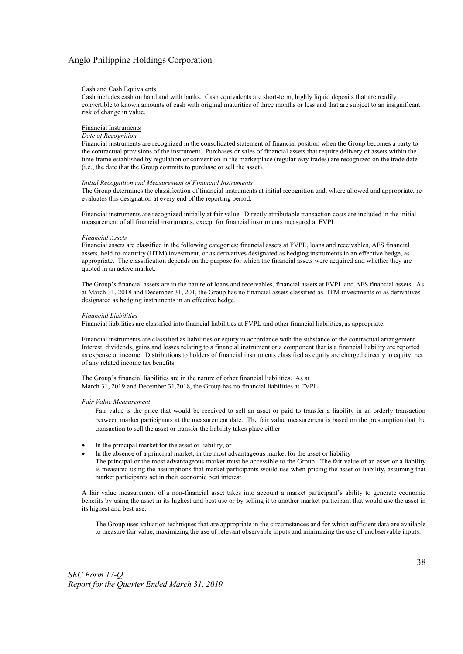#### Cash and Cash Equivalents

Cash includes cash on hand and with banks. Cash equivalents are short-term, highly liquid deposits that are readily convertible to known amounts of cash with original maturities of three months or less and that are subject to an insignificant risk of change in value.

#### Financial Instruments

#### *Date of Recognition*

Financial instruments are recognized in the consolidated statement of financial position when the Group becomes a party to the contractual provisions of the instrument. Purchases or sales of financial assets that require delivery of assets within the time frame established by regulation or convention in the marketplace (regular way trades) are recognized on the trade date (i.e., the date that the Group commits to purchase or sell the asset).

#### *Initial Recognition and Measurement of Financial Instruments*

The Group determines the classification of financial instruments at initial recognition and, where allowed and appropriate, reevaluates this designation at every end of the reporting period.

Financial instruments are recognized initially at fair value. Directly attributable transaction costs are included in the initial measurement of all financial instruments, except for financial instruments measured at FVPL.

#### *Financial Assets*

Financial assets are classified in the following categories: financial assets at FVPL, loans and receivables, AFS financial assets, held-to-maturity (HTM) investment, or as derivatives designated as hedging instruments in an effective hedge, as appropriate. The classification depends on the purpose for which the financial assets were acquired and whether they are quoted in an active market.

The Group's financial assets are in the nature of loans and receivables, financial assets at FVPL and AFS financial assets. As at March 31, 2018 and December 31, 201, the Group has no financial assets classified as HTM investments or as derivatives designated as hedging instruments in an effective hedge.

#### *Financial Liabilities*

Financial liabilities are classified into financial liabilities at FVPL and other financial liabilities, as appropriate.

Financial instruments are classified as liabilities or equity in accordance with the substance of the contractual arrangement. Interest, dividends, gains and losses relating to a financial instrument or a component that is a financial liability are reported as expense or income. Distributions to holders of financial instruments classified as equity are charged directly to equity, net of any related income tax benefits.

The Group's financial liabilities are in the nature of other financial liabilities. As at March 31, 2019 and December 31,2018, the Group has no financial liabilities at FVPL.

#### *Fair Value Measurement*

Fair value is the price that would be received to sell an asset or paid to transfer a liability in an orderly transaction between market participants at the measurement date. The fair value measurement is based on the presumption that the transaction to sell the asset or transfer the liability takes place either:

- In the principal market for the asset or liability, or
- In the absence of a principal market, in the most advantageous market for the asset or liability
- The principal or the most advantageous market must be accessible to the Group. The fair value of an asset or a liability is measured using the assumptions that market participants would use when pricing the asset or liability, assuming that market participants act in their economic best interest.

A fair value measurement of a non-financial asset takes into account a market participant's ability to generate economic benefits by using the asset in its highest and best use or by selling it to another market participant that would use the asset in its highest and best use.

The Group uses valuation techniques that are appropriate in the circumstances and for which sufficient data are available to measure fair value, maximizing the use of relevant observable inputs and minimizing the use of unobservable inputs.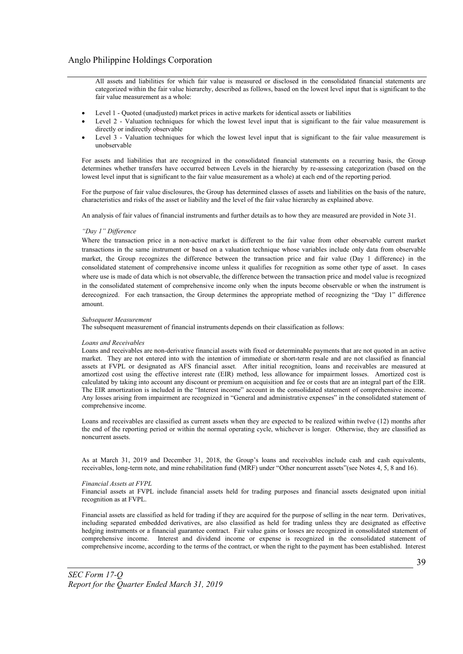All assets and liabilities for which fair value is measured or disclosed in the consolidated financial statements are categorized within the fair value hierarchy, described as follows, based on the lowest level input that is significant to the fair value measurement as a whole:

- Level 1 Quoted (unadjusted) market prices in active markets for identical assets or liabilities
- Level 2 Valuation techniques for which the lowest level input that is significant to the fair value measurement is directly or indirectly observable
- Level 3 Valuation techniques for which the lowest level input that is significant to the fair value measurement is unobservable

For assets and liabilities that are recognized in the consolidated financial statements on a recurring basis, the Group determines whether transfers have occurred between Levels in the hierarchy by re-assessing categorization (based on the lowest level input that is significant to the fair value measurement as a whole) at each end of the reporting period.

For the purpose of fair value disclosures, the Group has determined classes of assets and liabilities on the basis of the nature, characteristics and risks of the asset or liability and the level of the fair value hierarchy as explained above.

An analysis of fair values of financial instruments and further details as to how they are measured are provided in Note 31.

#### *"Day 1" Difference*

Where the transaction price in a non-active market is different to the fair value from other observable current market transactions in the same instrument or based on a valuation technique whose variables include only data from observable market, the Group recognizes the difference between the transaction price and fair value (Day 1 difference) in the consolidated statement of comprehensive income unless it qualifies for recognition as some other type of asset. In cases where use is made of data which is not observable, the difference between the transaction price and model value is recognized in the consolidated statement of comprehensive income only when the inputs become observable or when the instrument is derecognized. For each transaction, the Group determines the appropriate method of recognizing the "Day 1" difference amount.

#### *Subsequent Measurement*

The subsequent measurement of financial instruments depends on their classification as follows:

#### *Loans and Receivables*

Loans and receivables are non-derivative financial assets with fixed or determinable payments that are not quoted in an active market. They are not entered into with the intention of immediate or short-term resale and are not classified as financial assets at FVPL or designated as AFS financial asset. After initial recognition, loans and receivables are measured at amortized cost using the effective interest rate (EIR) method, less allowance for impairment losses. Amortized cost is calculated by taking into account any discount or premium on acquisition and fee or costs that are an integral part of the EIR. The EIR amortization is included in the "Interest income" account in the consolidated statement of comprehensive income. Any losses arising from impairment are recognized in "General and administrative expenses" in the consolidated statement of comprehensive income.

Loans and receivables are classified as current assets when they are expected to be realized within twelve (12) months after the end of the reporting period or within the normal operating cycle, whichever is longer. Otherwise, they are classified as noncurrent assets.

As at March 31, 2019 and December 31, 2018, the Group's loans and receivables include cash and cash equivalents, receivables, long-term note, and mine rehabilitation fund (MRF) under "Other noncurrent assets"(see Notes 4, 5, 8 and 16).

#### *Financial Assets at FVPL*

Financial assets at FVPL include financial assets held for trading purposes and financial assets designated upon initial recognition as at FVPL.

Financial assets are classified as held for trading if they are acquired for the purpose of selling in the near term. Derivatives, including separated embedded derivatives, are also classified as held for trading unless they are designated as effective hedging instruments or a financial guarantee contract. Fair value gains or losses are recognized in consolidated statement of comprehensive income. Interest and dividend income or expense is recognized in the consolidated statement of comprehensive income, according to the terms of the contract, or when the right to the payment has been established. Interest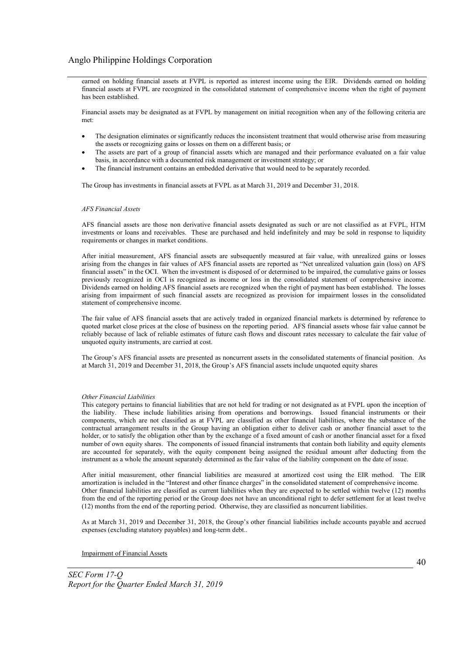earned on holding financial assets at FVPL is reported as interest income using the EIR. Dividends earned on holding financial assets at FVPL are recognized in the consolidated statement of comprehensive income when the right of payment has been established.

Financial assets may be designated as at FVPL by management on initial recognition when any of the following criteria are met:

- The designation eliminates or significantly reduces the inconsistent treatment that would otherwise arise from measuring the assets or recognizing gains or losses on them on a different basis; or
- The assets are part of a group of financial assets which are managed and their performance evaluated on a fair value basis, in accordance with a documented risk management or investment strategy; or
- The financial instrument contains an embedded derivative that would need to be separately recorded.

The Group has investments in financial assets at FVPL as at March 31, 2019 and December 31, 2018.

#### *AFS Financial Assets*

AFS financial assets are those non derivative financial assets designated as such or are not classified as at FVPL, HTM investments or loans and receivables. These are purchased and held indefinitely and may be sold in response to liquidity requirements or changes in market conditions.

After initial measurement, AFS financial assets are subsequently measured at fair value, with unrealized gains or losses arising from the changes in fair values of AFS financial assets are reported as "Net unrealized valuation gain (loss) on AFS financial assets" in the OCI. When the investment is disposed of or determined to be impaired, the cumulative gains or losses previously recognized in OCI is recognized as income or loss in the consolidated statement of comprehensive income. Dividends earned on holding AFS financial assets are recognized when the right of payment has been established. The losses arising from impairment of such financial assets are recognized as provision for impairment losses in the consolidated statement of comprehensive income.

The fair value of AFS financial assets that are actively traded in organized financial markets is determined by reference to quoted market close prices at the close of business on the reporting period. AFS financial assets whose fair value cannot be reliably because of lack of reliable estimates of future cash flows and discount rates necessary to calculate the fair value of unquoted equity instruments, are carried at cost.

The Group's AFS financial assets are presented as noncurrent assets in the consolidated statements of financial position. As at March 31, 2019 and December 31, 2018, the Group's AFS financial assets include unquoted equity shares

#### *Other Financial Liabilities*

This category pertains to financial liabilities that are not held for trading or not designated as at FVPL upon the inception of the liability. These include liabilities arising from operations and borrowings. Issued financial instruments or their components, which are not classified as at FVPL are classified as other financial liabilities, where the substance of the contractual arrangement results in the Group having an obligation either to deliver cash or another financial asset to the holder, or to satisfy the obligation other than by the exchange of a fixed amount of cash or another financial asset for a fixed number of own equity shares. The components of issued financial instruments that contain both liability and equity elements are accounted for separately, with the equity component being assigned the residual amount after deducting from the instrument as a whole the amount separately determined as the fair value of the liability component on the date of issue.

After initial measurement, other financial liabilities are measured at amortized cost using the EIR method. The EIR amortization is included in the "Interest and other finance charges" in the consolidated statement of comprehensive income. Other financial liabilities are classified as current liabilities when they are expected to be settled within twelve (12) months from the end of the reporting period or the Group does not have an unconditional right to defer settlement for at least twelve (12) months from the end of the reporting period. Otherwise, they are classified as noncurrent liabilities.

As at March 31, 2019 and December 31, 2018, the Group's other financial liabilities include accounts payable and accrued expenses (excluding statutory payables) and long-term debt..

Impairment of Financial Assets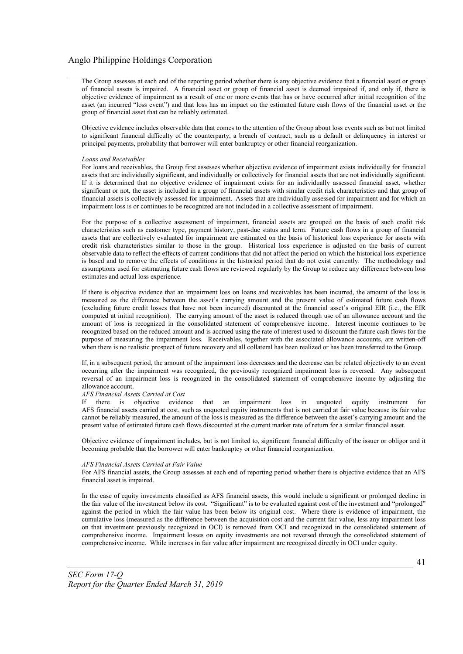The Group assesses at each end of the reporting period whether there is any objective evidence that a financial asset or group of financial assets is impaired. A financial asset or group of financial asset is deemed impaired if, and only if, there is objective evidence of impairment as a result of one or more events that has or have occurred after initial recognition of the asset (an incurred "loss event") and that loss has an impact on the estimated future cash flows of the financial asset or the group of financial asset that can be reliably estimated.

Objective evidence includes observable data that comes to the attention of the Group about loss events such as but not limited to significant financial difficulty of the counterparty, a breach of contract, such as a default or delinquency in interest or principal payments, probability that borrower will enter bankruptcy or other financial reorganization.

#### *Loans and Receivables*

For loans and receivables, the Group first assesses whether objective evidence of impairment exists individually for financial assets that are individually significant, and individually or collectively for financial assets that are not individually significant. If it is determined that no objective evidence of impairment exists for an individually assessed financial asset, whether significant or not, the asset is included in a group of financial assets with similar credit risk characteristics and that group of financial assets is collectively assessed for impairment. Assets that are individually assessed for impairment and for which an impairment loss is or continues to be recognized are not included in a collective assessment of impairment.

For the purpose of a collective assessment of impairment, financial assets are grouped on the basis of such credit risk characteristics such as customer type, payment history, past-due status and term. Future cash flows in a group of financial assets that are collectively evaluated for impairment are estimated on the basis of historical loss experience for assets with credit risk characteristics similar to those in the group. Historical loss experience is adjusted on the basis of current observable data to reflect the effects of current conditions that did not affect the period on which the historical loss experience is based and to remove the effects of conditions in the historical period that do not exist currently. The methodology and assumptions used for estimating future cash flows are reviewed regularly by the Group to reduce any difference between loss estimates and actual loss experience.

If there is objective evidence that an impairment loss on loans and receivables has been incurred, the amount of the loss is measured as the difference between the asset's carrying amount and the present value of estimated future cash flows (excluding future credit losses that have not been incurred) discounted at the financial asset's original EIR (i.e., the EIR computed at initial recognition). The carrying amount of the asset is reduced through use of an allowance account and the amount of loss is recognized in the consolidated statement of comprehensive income. Interest income continues to be recognized based on the reduced amount and is accrued using the rate of interest used to discount the future cash flows for the purpose of measuring the impairment loss. Receivables, together with the associated allowance accounts, are written-off when there is no realistic prospect of future recovery and all collateral has been realized or has been transferred to the Group.

If, in a subsequent period, the amount of the impairment loss decreases and the decrease can be related objectively to an event occurring after the impairment was recognized, the previously recognized impairment loss is reversed. Any subsequent reversal of an impairment loss is recognized in the consolidated statement of comprehensive income by adjusting the allowance account.

#### *AFS Financial Assets Carried at Cost*

If there is objective evidence that an impairment loss in unquoted equity instrument for AFS financial assets carried at cost, such as unquoted equity instruments that is not carried at fair value because its fair value cannot be reliably measured, the amount of the loss is measured as the difference between the asset's carrying amount and the present value of estimated future cash flows discounted at the current market rate of return for a similar financial asset.

Objective evidence of impairment includes, but is not limited to, significant financial difficulty of the issuer or obligor and it becoming probable that the borrower will enter bankruptcy or other financial reorganization.

#### *AFS Financial Assets Carried at Fair Value*

For AFS financial assets, the Group assesses at each end of reporting period whether there is objective evidence that an AFS financial asset is impaired.

In the case of equity investments classified as AFS financial assets, this would include a significant or prolonged decline in the fair value of the investment below its cost. "Significant" is to be evaluated against cost of the investment and "prolonged" against the period in which the fair value has been below its original cost. Where there is evidence of impairment, the cumulative loss (measured as the difference between the acquisition cost and the current fair value, less any impairment loss on that investment previously recognized in OCI) is removed from OCI and recognized in the consolidated statement of comprehensive income. Impairment losses on equity investments are not reversed through the consolidated statement of comprehensive income. While increases in fair value after impairment are recognized directly in OCI under equity.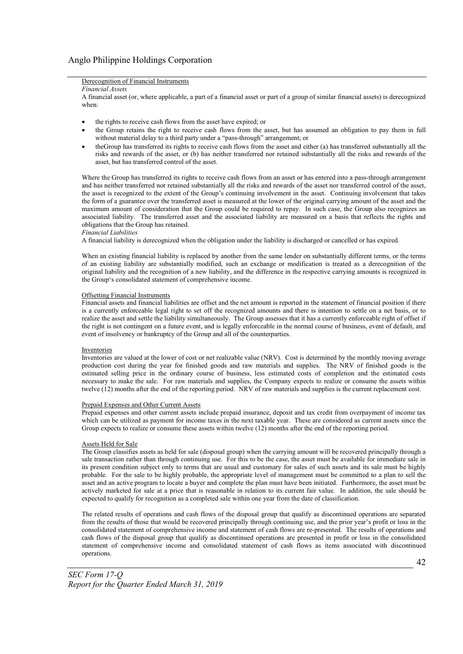## Derecognition of Financial Instruments

*Financial Assets*

A financial asset (or, where applicable, a part of a financial asset or part of a group of similar financial assets) is derecognized when:

- the rights to receive cash flows from the asset have expired; or
- the Group retains the right to receive cash flows from the asset, but has assumed an obligation to pay them in full without material delay to a third party under a "pass-through" arrangement; or
- theGroup has transferred its rights to receive cash flows from the asset and either (a) has transferred substantially all the risks and rewards of the asset, or (b) has neither transferred nor retained substantially all the risks and rewards of the asset, but has transferred control of the asset.

Where the Group has transferred its rights to receive cash flows from an asset or has entered into a pass-through arrangement and has neither transferred nor retained substantially all the risks and rewards of the asset nor transferred control of the asset, the asset is recognized to the extent of the Group's continuing involvement in the asset. Continuing involvement that takes the form of a guarantee over the transferred asset is measured at the lower of the original carrying amount of the asset and the maximum amount of consideration that the Group could be required to repay. In such case, the Group also recognizes an associated liability. The transferred asset and the associated liability are measured on a basis that reflects the rights and obligations that the Group has retained.

#### *Financial Liabilities*

A financial liability is derecognized when the obligation under the liability is discharged or cancelled or has expired.

When an existing financial liability is replaced by another from the same lender on substantially different terms, or the terms of an existing liability are substantially modified, such an exchange or modification is treated as a derecognition of the original liability and the recognition of a new liability, and the difference in the respective carrying amounts is recognized in the Group's consolidated statement of comprehensive income.

#### Offsetting Financial Instruments

Financial assets and financial liabilities are offset and the net amount is reported in the statement of financial position if there is a currently enforceable legal right to set off the recognized amounts and there is intention to settle on a net basis, or to realize the asset and settle the liability simultaneously. The Group assesses that it has a currently enforceable right of offset if the right is not contingent on a future event, and is legally enforceable in the normal course of business, event of default, and event of insolvency or bankruptcy of the Group and all of the counterparties.

#### **Inventories**

Inventories are valued at the lower of cost or net realizable value (NRV). Cost is determined by the monthly moving average production cost during the year for finished goods and raw materials and supplies. The NRV of finished goods is the estimated selling price in the ordinary course of business, less estimated costs of completion and the estimated costs necessary to make the sale. For raw materials and supplies, the Company expects to realize or consume the assets within twelve (12) months after the end of the reporting period. NRV of raw materials and supplies is the current replacement cost.

#### Prepaid Expenses and Other Current Assets

Prepaid expenses and other current assets include prepaid insurance, deposit and tax credit from overpayment of income tax which can be utilized as payment for income taxes in the next taxable year. These are considered as current assets since the Group expects to realize or consume these assets within twelve (12) months after the end of the reporting period.

#### Assets Held for Sale

The Group classifies assets as held for sale (disposal group) when the carrying amount will be recovered principally through a sale transaction rather than through continuing use. For this to be the case, the asset must be available for immediate sale in its present condition subject only to terms that are usual and customary for sales of such assets and its sale must be highly probable. For the sale to be highly probable, the appropriate level of management must be committed to a plan to sell the asset and an active program to locate a buyer and complete the plan must have been initiated. Furthermore, the asset must be actively marketed for sale at a price that is reasonable in relation to its current fair value. In addition, the sale should be expected to qualify for recognition as a completed sale within one year from the date of classification.

The related results of operations and cash flows of the disposal group that qualify as discontinued operations are separated from the results of those that would be recovered principally through continuing use, and the prior year's profit or loss in the consolidated statement of comprehensive income and statement of cash flows are re-presented. The results of operations and cash flows of the disposal group that qualify as discontinued operations are presented in profit or loss in the consolidated statement of comprehensive income and consolidated statement of cash flows as items associated with discontinued operations.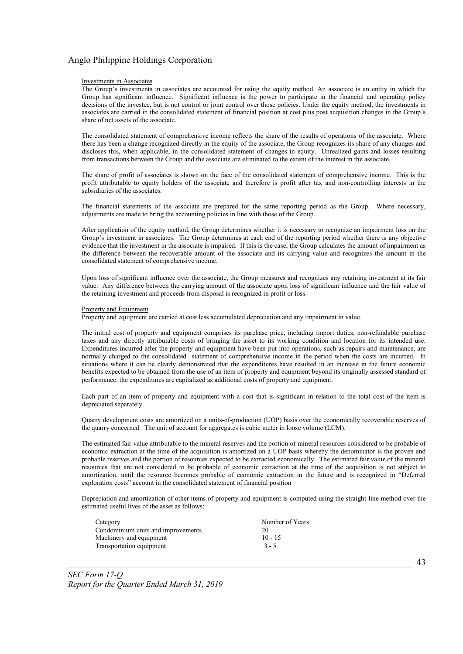#### Investments in Associates

The Group's investments in associates are accounted for using the equity method. An associate is an entity in which the Group has significant influence. Significant influence is the power to participate in the financial and operating policy decisions of the investee, but is not control or joint control over those policies. Under the equity method, the investments in associates are carried in the consolidated statement of financial position at cost plus post acquisition changes in the Group's share of net assets of the associate.

The consolidated statement of comprehensive income reflects the share of the results of operations of the associate. Where there has been a change recognized directly in the equity of the associate, the Group recognizes its share of any changes and discloses this, when applicable, in the consolidated statement of changes in equity. Unrealized gains and losses resulting from transactions between the Group and the associate are eliminated to the extent of the interest in the associate.

The share of profit of associates is shown on the face of the consolidated statement of comprehensive income. This is the profit attributable to equity holders of the associate and therefore is profit after tax and non-controlling interests in the subsidiaries of the associates.

The financial statements of the associate are prepared for the same reporting period as the Group. Where necessary, adjustments are made to bring the accounting policies in line with those of the Group.

After application of the equity method, the Group determines whether it is necessary to recognize an impairment loss on the Group's investment in associates. The Group determines at each end of the reporting period whether there is any objective evidence that the investment in the associate is impaired. If this is the case, the Group calculates the amount of impairment as the difference between the recoverable amount of the associate and its carrying value and recognizes the amount in the consolidated statement of comprehensive income.

Upon loss of significant influence over the associate, the Group measures and recognizes any retaining investment at its fair value. Any difference between the carrying amount of the associate upon loss of significant influence and the fair value of the retaining investment and proceeds from disposal is recognized in profit or loss.

#### Property and Equipment

Property and equipment are carried at cost less accumulated depreciation and any impairment in value.

The initial cost of property and equipment comprises its purchase price, including import duties, non-refundable purchase taxes and any directly attributable costs of bringing the asset to its working condition and location for its intended use. Expenditures incurred after the property and equipment have been put into operations, such as repairs and maintenance, are normally charged to the consolidated statement of comprehensive income in the period when the costs are incurred. In situations where it can be clearly demonstrated that the expenditures have resulted in an increase in the future economic benefits expected to be obtained from the use of an item of property and equipment beyond its originally assessed standard of performance, the expenditures are capitalized as additional costs of property and equipment.

Each part of an item of property and equipment with a cost that is significant in relation to the total cost of the item is depreciated separately.

Quarry development costs are amortized on a units-of-production (UOP) basis over the economically recoverable reserves of the quarry concerned. The unit of account for aggregates is cubic meter in loose volume (LCM).

The estimated fair value attributable to the mineral reserves and the portion of mineral resources considered to be probable of economic extraction at the time of the acquisition is amortized on a UOP basis whereby the denominator is the proven and probable reserves and the portion of resources expected to be extracted economically. The estimated fair value of the mineral resources that are not considered to be probable of economic extraction at the time of the acquisition is not subject to amortization, until the resource becomes probable of economic extraction in the future and is recognized in "Deferred exploration costs" account in the consolidated statement of financial position

Depreciation and amortization of other items of property and equipment is computed using the straight-line method over the estimated useful lives of the asset as follows:

| Category                           | Number of Years |
|------------------------------------|-----------------|
| Condominium units and improvements | 20              |
| Machinery and equipment            | $10 - 15$       |
| Transportation equipment           | $3 - 5$         |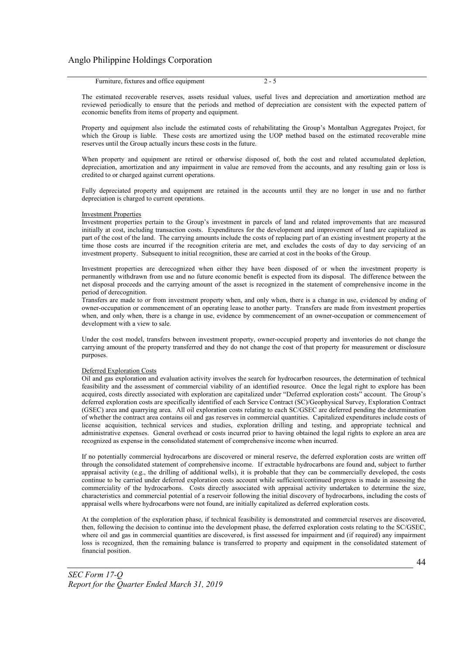| Furniture, fixtures and office equipment |  |  |
|------------------------------------------|--|--|
|------------------------------------------|--|--|

The estimated recoverable reserves, assets residual values, useful lives and depreciation and amortization method are reviewed periodically to ensure that the periods and method of depreciation are consistent with the expected pattern of economic benefits from items of property and equipment.

Property and equipment also include the estimated costs of rehabilitating the Group's Montalban Aggregates Project, for which the Group is liable. These costs are amortized using the UOP method based on the estimated recoverable mine reserves until the Group actually incurs these costs in the future.

When property and equipment are retired or otherwise disposed of, both the cost and related accumulated depletion, depreciation, amortization and any impairment in value are removed from the accounts, and any resulting gain or loss is credited to or charged against current operations.

Fully depreciated property and equipment are retained in the accounts until they are no longer in use and no further depreciation is charged to current operations.

#### Investment Properties

Investment properties pertain to the Group's investment in parcels of land and related improvements that are measured initially at cost, including transaction costs. Expenditures for the development and improvement of land are capitalized as part of the cost of the land. The carrying amounts include the costs of replacing part of an existing investment property at the time those costs are incurred if the recognition criteria are met, and excludes the costs of day to day servicing of an investment property. Subsequent to initial recognition, these are carried at cost in the books of the Group.

Investment properties are derecognized when either they have been disposed of or when the investment property is permanently withdrawn from use and no future economic benefit is expected from its disposal. The difference between the net disposal proceeds and the carrying amount of the asset is recognized in the statement of comprehensive income in the period of derecognition.

Transfers are made to or from investment property when, and only when, there is a change in use, evidenced by ending of owner-occupation or commencement of an operating lease to another party. Transfers are made from investment properties when, and only when, there is a change in use, evidence by commencement of an owner-occupation or commencement of development with a view to sale.

Under the cost model, transfers between investment property, owner-occupied property and inventories do not change the carrying amount of the property transferred and they do not change the cost of that property for measurement or disclosure purposes.

#### Deferred Exploration Costs

Oil and gas exploration and evaluation activity involves the search for hydrocarbon resources, the determination of technical feasibility and the assessment of commercial viability of an identified resource. Once the legal right to explore has been acquired, costs directly associated with exploration are capitalized under "Deferred exploration costs" account. The Group's deferred exploration costs are specifically identified of each Service Contract (SC)/Geophysical Survey, Exploration Contract (GSEC) area and quarrying area. All oil exploration costs relating to each SC/GSEC are deferred pending the determination of whether the contract area contains oil and gas reserves in commercial quantities. Capitalized expenditures include costs of license acquisition, technical services and studies, exploration drilling and testing, and appropriate technical and administrative expenses. General overhead or costs incurred prior to having obtained the legal rights to explore an area are recognized as expense in the consolidated statement of comprehensive income when incurred.

If no potentially commercial hydrocarbons are discovered or mineral reserve, the deferred exploration costs are written off through the consolidated statement of comprehensive income. If extractable hydrocarbons are found and, subject to further appraisal activity (e.g., the drilling of additional wells), it is probable that they can be commercially developed, the costs continue to be carried under deferred exploration costs account while sufficient/continued progress is made in assessing the commerciality of the hydrocarbons. Costs directly associated with appraisal activity undertaken to determine the size, characteristics and commercial potential of a reservoir following the initial discovery of hydrocarbons, including the costs of appraisal wells where hydrocarbons were not found, are initially capitalized as deferred exploration costs.

At the completion of the exploration phase, if technical feasibility is demonstrated and commercial reserves are discovered, then, following the decision to continue into the development phase, the deferred exploration costs relating to the SC/GSEC, where oil and gas in commercial quantities are discovered, is first assessed for impairment and (if required) any impairment loss is recognized, then the remaining balance is transferred to property and equipment in the consolidated statement of financial position.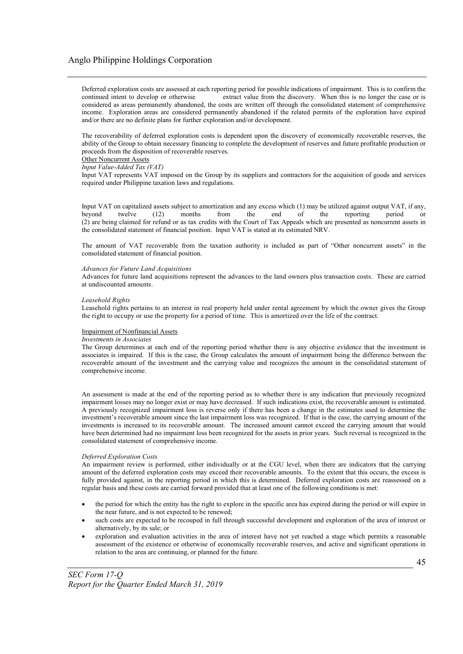Deferred exploration costs are assessed at each reporting period for possible indications of impairment. This is to confirm the continued intent to develop or otherwise extract value from the discovery. When this is no longer the case or is considered as areas permanently abandoned, the costs are written off through the consolidated statement of comprehensive income. Exploration areas are considered permanently abandoned if the related permits of the exploration have expired and/or there are no definite plans for further exploration and/or development.

The recoverability of deferred exploration costs is dependent upon the discovery of economically recoverable reserves, the ability of the Group to obtain necessary financing to complete the development of reserves and future profitable production or proceeds from the disposition of recoverable reserves.

#### Other Noncurrent Assets

#### *Input Value-Added Tax (VAT)*

Input VAT represents VAT imposed on the Group by its suppliers and contractors for the acquisition of goods and services required under Philippine taxation laws and regulations.

Input VAT on capitalized assets subject to amortization and any excess which (1) may be utilized against output VAT, if any, beyond twelve (12) months from the end of the reporting period or beyond twelve (12) months from the end of the reporting period or (2) are being claimed for refund or as tax credits with the Court of Tax Appeals which are presented as noncurrent assets in the consolidated statement of financial position. Input VAT is stated at its estimated NRV.

The amount of VAT recoverable from the taxation authority is included as part of "Other noncurrent assets" in the consolidated statement of financial position.

#### *Advances for Future Land Acquisitions*

Advances for future land acquisitions represent the advances to the land owners plus transaction costs. These are carried at undiscounted amounts.

#### *Leasehold Rights*

Leasehold rights pertains to an interest in real property held under rental agreement by which the owner gives the Group the right to occupy or use the property for a period of time. This is amortized over the life of the contract.

#### Impairment of Nonfinancial Assets

#### *Investments in Associates*

The Group determines at each end of the reporting period whether there is any objective evidence that the investment in associates is impaired. If this is the case, the Group calculates the amount of impairment being the difference between the recoverable amount of the investment and the carrying value and recognizes the amount in the consolidated statement of comprehensive income.

An assessment is made at the end of the reporting period as to whether there is any indication that previously recognized impairment losses may no longer exist or may have decreased. If such indications exist, the recoverable amount is estimated. A previously recognized impairment loss is reverse only if there has been a change in the estimates used to determine the investment's recoverable amount since the last impairment loss was recognized. If that is the case, the carrying amount of the investments is increased to its recoverable amount. The increased amount cannot exceed the carrying amount that would have been determined had no impairment loss been recognized for the assets in prior years. Such reversal is recognized in the consolidated statement of comprehensive income.

#### *Deferred Exploration Costs*

An impairment review is performed, either individually or at the CGU level, when there are indicators that the carrying amount of the deferred exploration costs may exceed their recoverable amounts. To the extent that this occurs, the excess is fully provided against, in the reporting period in which this is determined. Deferred exploration costs are reassessed on a regular basis and these costs are carried forward provided that at least one of the following conditions is met:

- the period for which the entity has the right to explore in the specific area has expired during the period or will expire in the near future, and is not expected to be renewed;
- such costs are expected to be recouped in full through successful development and exploration of the area of interest or alternatively, by its sale; or
- exploration and evaluation activities in the area of interest have not yet reached a stage which permits a reasonable assessment of the existence or otherwise of economically recoverable reserves, and active and significant operations in relation to the area are continuing, or planned for the future.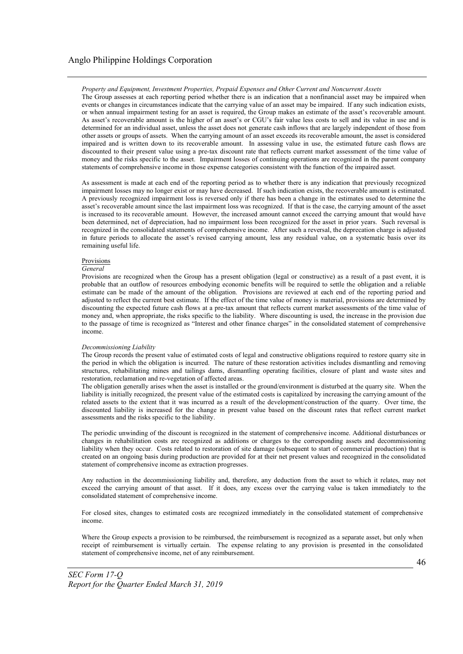*Property and Equipment, Investment Properties, Prepaid Expenses and Other Current and Noncurrent Assets*

The Group assesses at each reporting period whether there is an indication that a nonfinancial asset may be impaired when events or changes in circumstances indicate that the carrying value of an asset may be impaired. If any such indication exists, or when annual impairment testing for an asset is required, the Group makes an estimate of the asset's recoverable amount. As asset's recoverable amount is the higher of an asset's or CGU's fair value less costs to sell and its value in use and is determined for an individual asset, unless the asset does not generate cash inflows that are largely independent of those from other assets or groups of assets. When the carrying amount of an asset exceeds its recoverable amount, the asset is considered impaired and is written down to its recoverable amount. In assessing value in use, the estimated future cash flows are discounted to their present value using a pre-tax discount rate that reflects current market assessment of the time value of money and the risks specific to the asset. Impairment losses of continuing operations are recognized in the parent company statements of comprehensive income in those expense categories consistent with the function of the impaired asset.

As assessment is made at each end of the reporting period as to whether there is any indication that previously recognized impairment losses may no longer exist or may have decreased. If such indication exists, the recoverable amount is estimated. A previously recognized impairment loss is reversed only if there has been a change in the estimates used to determine the asset's recoverable amount since the last impairment loss was recognized. If that is the case, the carrying amount of the asset is increased to its recoverable amount. However, the increased amount cannot exceed the carrying amount that would have been determined, net of depreciation, had no impairment loss been recognized for the asset in prior years. Such reversal is recognized in the consolidated statements of comprehensive income. After such a reversal, the deprecation charge is adjusted in future periods to allocate the asset's revised carrying amount, less any residual value, on a systematic basis over its remaining useful life.

#### Provisions

#### *General*

Provisions are recognized when the Group has a present obligation (legal or constructive) as a result of a past event, it is probable that an outflow of resources embodying economic benefits will be required to settle the obligation and a reliable estimate can be made of the amount of the obligation. Provisions are reviewed at each end of the reporting period and adjusted to reflect the current best estimate. If the effect of the time value of money is material, provisions are determined by discounting the expected future cash flows at a pre-tax amount that reflects current market assessments of the time value of money and, when appropriate, the risks specific to the liability. Where discounting is used, the increase in the provision due to the passage of time is recognized as "Interest and other finance charges" in the consolidated statement of comprehensive income.

#### *Decommissioning Liability*

The Group records the present value of estimated costs of legal and constructive obligations required to restore quarry site in the period in which the obligation is incurred. The nature of these restoration activities includes dismantling and removing structures, rehabilitating mines and tailings dams, dismantling operating facilities, closure of plant and waste sites and restoration, reclamation and re-vegetation of affected areas.

The obligation generally arises when the asset is installed or the ground/environment is disturbed at the quarry site. When the liability is initially recognized, the present value of the estimated costs is capitalized by increasing the carrying amount of the related assets to the extent that it was incurred as a result of the development/construction of the quarry. Over time, the discounted liability is increased for the change in present value based on the discount rates that reflect current market assessments and the risks specific to the liability.

The periodic unwinding of the discount is recognized in the statement of comprehensive income. Additional disturbances or changes in rehabilitation costs are recognized as additions or charges to the corresponding assets and decommissioning liability when they occur. Costs related to restoration of site damage (subsequent to start of commercial production) that is created on an ongoing basis during production are provided for at their net present values and recognized in the consolidated statement of comprehensive income as extraction progresses.

Any reduction in the decommissioning liability and, therefore, any deduction from the asset to which it relates, may not exceed the carrying amount of that asset. If it does, any excess over the carrying value is taken immediately to the consolidated statement of comprehensive income.

For closed sites, changes to estimated costs are recognized immediately in the consolidated statement of comprehensive income.

Where the Group expects a provision to be reimbursed, the reimbursement is recognized as a separate asset, but only when receipt of reimbursement is virtually certain. The expense relating to any provision is presented in the consolidated statement of comprehensive income, net of any reimbursement.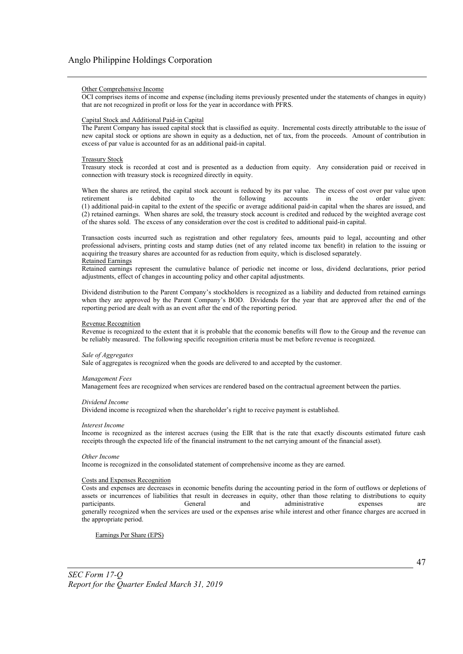#### Other Comprehensive Income

OCI comprises items of income and expense (including items previously presented under the statements of changes in equity) that are not recognized in profit or loss for the year in accordance with PFRS.

#### Capital Stock and Additional Paid-in Capital

The Parent Company has issued capital stock that is classified as equity. Incremental costs directly attributable to the issue of new capital stock or options are shown in equity as a deduction, net of tax, from the proceeds. Amount of contribution in excess of par value is accounted for as an additional paid-in capital.

#### Treasury Stock

Treasury stock is recorded at cost and is presented as a deduction from equity. Any consideration paid or received in connection with treasury stock is recognized directly in equity.

When the shares are retired, the capital stock account is reduced by its par value. The excess of cost over par value upon retirement is debited to the following accounts in the order given: retirement is debited to the following accounts in the order given: (1) additional paid-in capital to the extent of the specific or average additional paid-in capital when the shares are issued, and (2) retained earnings. When shares are sold, the treasury stock account is credited and reduced by the weighted average cost of the shares sold. The excess of any consideration over the cost is credited to additional paid-in capital.

Transaction costs incurred such as registration and other regulatory fees, amounts paid to legal, accounting and other professional advisers, printing costs and stamp duties (net of any related income tax benefit) in relation to the issuing or acquiring the treasury shares are accounted for as reduction from equity, which is disclosed separately. Retained Earnings

Retained earnings represent the cumulative balance of periodic net income or loss, dividend declarations, prior period adjustments, effect of changes in accounting policy and other capital adjustments.

Dividend distribution to the Parent Company's stockholders is recognized as a liability and deducted from retained earnings when they are approved by the Parent Company's BOD. Dividends for the year that are approved after the end of the reporting period are dealt with as an event after the end of the reporting period.

#### Revenue Recognition

Revenue is recognized to the extent that it is probable that the economic benefits will flow to the Group and the revenue can be reliably measured. The following specific recognition criteria must be met before revenue is recognized.

#### *Sale of Aggregates*

Sale of aggregates is recognized when the goods are delivered to and accepted by the customer.

#### *Management Fees*

Management fees are recognized when services are rendered based on the contractual agreement between the parties.

#### *Dividend Income*

Dividend income is recognized when the shareholder's right to receive payment is established.

#### *Interest Income*

Income is recognized as the interest accrues (using the EIR that is the rate that exactly discounts estimated future cash receipts through the expected life of the financial instrument to the net carrying amount of the financial asset).

#### *Other Income*

Income is recognized in the consolidated statement of comprehensive income as they are earned.

#### Costs and Expenses Recognition

Costs and expenses are decreases in economic benefits during the accounting period in the form of outflows or depletions of assets or incurrences of liabilities that result in decreases in equity, other than those relating to distributions to equity participants. General and administrative expenses are generally recognized when the services are used or the expenses arise while interest and other finance charges are accrued in the appropriate period.

Earnings Per Share (EPS)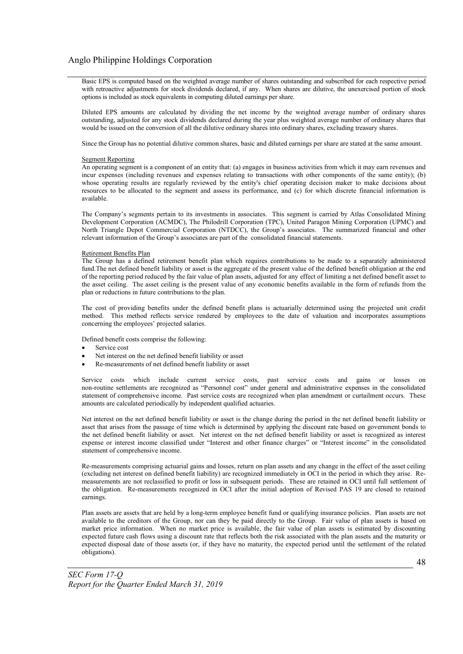Basic EPS is computed based on the weighted average number of shares outstanding and subscribed for each respective period with retroactive adjustments for stock dividends declared, if any. When shares are dilutive, the unexercised portion of stock options is included as stock equivalents in computing diluted earnings per share.

Diluted EPS amounts are calculated by dividing the net income by the weighted average number of ordinary shares outstanding, adjusted for any stock dividends declared during the year plus weighted average number of ordinary shares that would be issued on the conversion of all the dilutive ordinary shares into ordinary shares, excluding treasury shares.

Since the Group has no potential dilutive common shares, basic and diluted earnings per share are stated at the same amount.

#### Segment Reporting

An operating segment is a component of an entity that: (a) engages in business activities from which it may earn revenues and incur expenses (including revenues and expenses relating to transactions with other components of the same entity); (b) whose operating results are regularly reviewed by the entity's chief operating decision maker to make decisions about resources to be allocated to the segment and assess its performance, and (c) for which discrete financial information is available.

The Company's segments pertain to its investments in associates. This segment is carried by Atlas Consolidated Mining Development Corporation (ACMDC), The Philodrill Corporation (TPC), United Paragon Mining Corporation (UPMC) and North Triangle Depot Commercial Corporation (NTDCC), the Group's associates. The summarized financial and other relevant information of the Group's associates are part of the consolidated financial statements.

#### Retirement Benefits Plan

The Group has a defined retirement benefit plan which requires contributions to be made to a separately administered fund.The net defined benefit liability or asset is the aggregate of the present value of the defined benefit obligation at the end of the reporting period reduced by the fair value of plan assets, adjusted for any effect of limiting a net defined benefit asset to the asset ceiling. The asset ceiling is the present value of any economic benefits available in the form of refunds from the plan or reductions in future contributions to the plan.

The cost of providing benefits under the defined benefit plans is actuarially determined using the projected unit credit method. This method reflects service rendered by employees to the date of valuation and incorporates assumptions concerning the employees' projected salaries.

Defined benefit costs comprise the following:

- Service cost
- Net interest on the net defined benefit liability or asset
- Re-measurements of net defined benefit liability or asset

Service costs which include current service costs, past service costs and gains or losses on non-routine settlements are recognized as "Personnel cost" under general and administrative expenses in the consolidated statement of comprehensive income. Past service costs are recognized when plan amendment or curtailment occurs. These amounts are calculated periodically by independent qualified actuaries.

Net interest on the net defined benefit liability or asset is the change during the period in the net defined benefit liability or asset that arises from the passage of time which is determined by applying the discount rate based on government bonds to the net defined benefit liability or asset. Net interest on the net defined benefit liability or asset is recognized as interest expense or interest income classified under "Interest and other finance charges" or "Interest income" in the consolidated statement of comprehensive income.

Re-measurements comprising actuarial gains and losses, return on plan assets and any change in the effect of the asset ceiling (excluding net interest on defined benefit liability) are recognized immediately in OCI in the period in which they arise. Remeasurements are not reclassified to profit or loss in subsequent periods. These are retained in OCI until full settlement of the obligation. Re-measurements recognized in OCI after the initial adoption of Revised PAS 19 are closed to retained earnings.

Plan assets are assets that are held by a long-term employee benefit fund or qualifying insurance policies. Plan assets are not available to the creditors of the Group, nor can they be paid directly to the Group. Fair value of plan assets is based on market price information. When no market price is available, the fair value of plan assets is estimated by discounting expected future cash flows using a discount rate that reflects both the risk associated with the plan assets and the maturity or expected disposal date of those assets (or, if they have no maturity, the expected period until the settlement of the related obligations).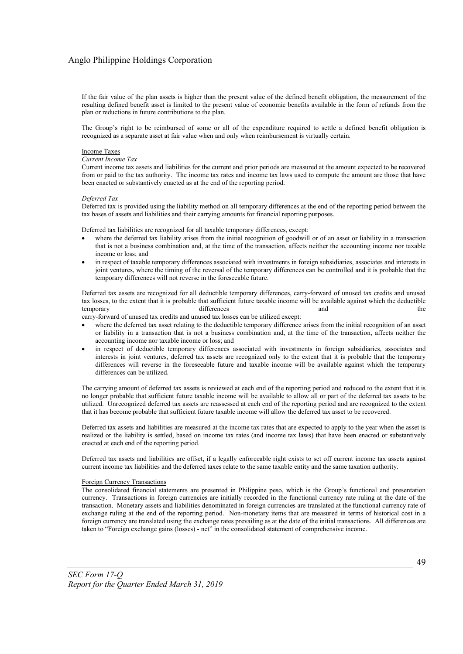If the fair value of the plan assets is higher than the present value of the defined benefit obligation, the measurement of the resulting defined benefit asset is limited to the present value of economic benefits available in the form of refunds from the plan or reductions in future contributions to the plan.

The Group's right to be reimbursed of some or all of the expenditure required to settle a defined benefit obligation is recognized as a separate asset at fair value when and only when reimbursement is virtually certain.

#### Income Taxes

#### *Current Income Tax*

Current income tax assets and liabilities for the current and prior periods are measured at the amount expected to be recovered from or paid to the tax authority. The income tax rates and income tax laws used to compute the amount are those that have been enacted or substantively enacted as at the end of the reporting period.

#### *Deferred Tax*

Deferred tax is provided using the liability method on all temporary differences at the end of the reporting period between the tax bases of assets and liabilities and their carrying amounts for financial reporting purposes.

Deferred tax liabilities are recognized for all taxable temporary differences, except:

- where the deferred tax liability arises from the initial recognition of goodwill or of an asset or liability in a transaction that is not a business combination and, at the time of the transaction, affects neither the accounting income nor taxable income or loss; and
- in respect of taxable temporary differences associated with investments in foreign subsidiaries, associates and interests in joint ventures, where the timing of the reversal of the temporary differences can be controlled and it is probable that the temporary differences will not reverse in the foreseeable future.

Deferred tax assets are recognized for all deductible temporary differences, carry-forward of unused tax credits and unused tax losses, to the extent that it is probable that sufficient future taxable income will be available against which the deductible temporary differences and the state of the state of the state of the state of the state of the state of the state of the state of the state of the state of the state of the state of the state of the state of the state of t

carry-forward of unused tax credits and unused tax losses can be utilized except:

- where the deferred tax asset relating to the deductible temporary difference arises from the initial recognition of an asset or liability in a transaction that is not a business combination and, at the time of the transaction, affects neither the accounting income nor taxable income or loss; and
- in respect of deductible temporary differences associated with investments in foreign subsidiaries, associates and interests in joint ventures, deferred tax assets are recognized only to the extent that it is probable that the temporary differences will reverse in the foreseeable future and taxable income will be available against which the temporary differences can be utilized.

The carrying amount of deferred tax assets is reviewed at each end of the reporting period and reduced to the extent that it is no longer probable that sufficient future taxable income will be available to allow all or part of the deferred tax assets to be utilized. Unrecognized deferred tax assets are reassessed at each end of the reporting period and are recognized to the extent that it has become probable that sufficient future taxable income will allow the deferred tax asset to be recovered.

Deferred tax assets and liabilities are measured at the income tax rates that are expected to apply to the year when the asset is realized or the liability is settled, based on income tax rates (and income tax laws) that have been enacted or substantively enacted at each end of the reporting period.

Deferred tax assets and liabilities are offset, if a legally enforceable right exists to set off current income tax assets against current income tax liabilities and the deferred taxes relate to the same taxable entity and the same taxation authority.

#### Foreign Currency Transactions

The consolidated financial statements are presented in Philippine peso, which is the Group's functional and presentation currency. Transactions in foreign currencies are initially recorded in the functional currency rate ruling at the date of the transaction. Monetary assets and liabilities denominated in foreign currencies are translated at the functional currency rate of exchange ruling at the end of the reporting period. Non-monetary items that are measured in terms of historical cost in a foreign currency are translated using the exchange rates prevailing as at the date of the initial transactions. All differences are taken to "Foreign exchange gains (losses) - net" in the consolidated statement of comprehensive income.